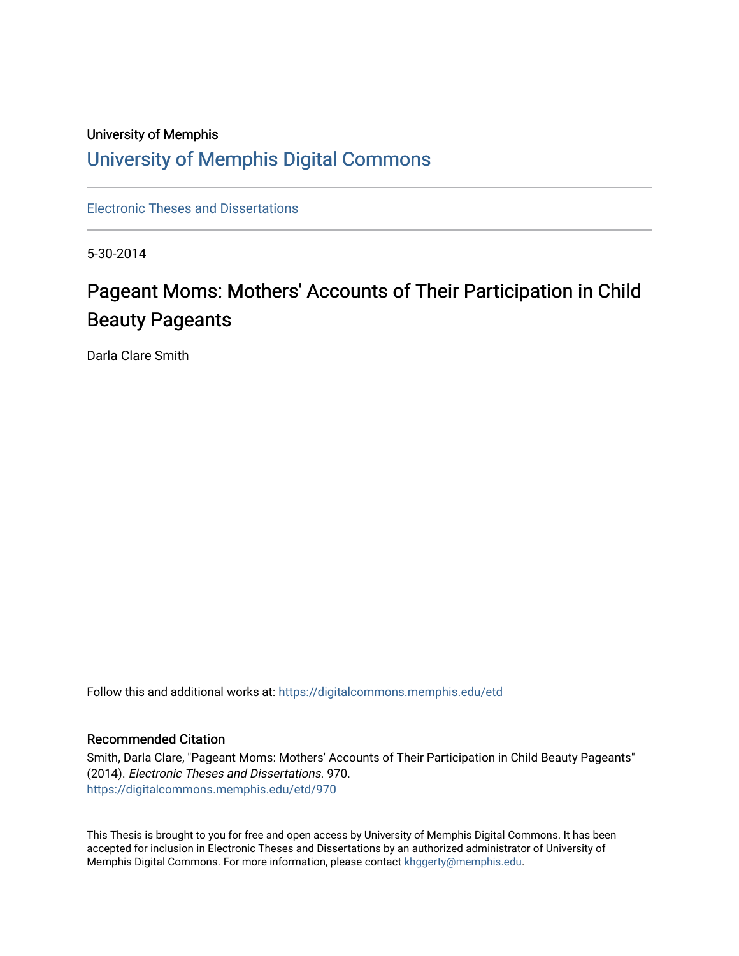# University of Memphis [University of Memphis Digital Commons](https://digitalcommons.memphis.edu/)

[Electronic Theses and Dissertations](https://digitalcommons.memphis.edu/etd)

5-30-2014

# Pageant Moms: Mothers' Accounts of Their Participation in Child Beauty Pageants

Darla Clare Smith

Follow this and additional works at: [https://digitalcommons.memphis.edu/etd](https://digitalcommons.memphis.edu/etd?utm_source=digitalcommons.memphis.edu%2Fetd%2F970&utm_medium=PDF&utm_campaign=PDFCoverPages) 

#### Recommended Citation

Smith, Darla Clare, "Pageant Moms: Mothers' Accounts of Their Participation in Child Beauty Pageants" (2014). Electronic Theses and Dissertations. 970. [https://digitalcommons.memphis.edu/etd/970](https://digitalcommons.memphis.edu/etd/970?utm_source=digitalcommons.memphis.edu%2Fetd%2F970&utm_medium=PDF&utm_campaign=PDFCoverPages) 

This Thesis is brought to you for free and open access by University of Memphis Digital Commons. It has been accepted for inclusion in Electronic Theses and Dissertations by an authorized administrator of University of Memphis Digital Commons. For more information, please contact [khggerty@memphis.edu.](mailto:khggerty@memphis.edu)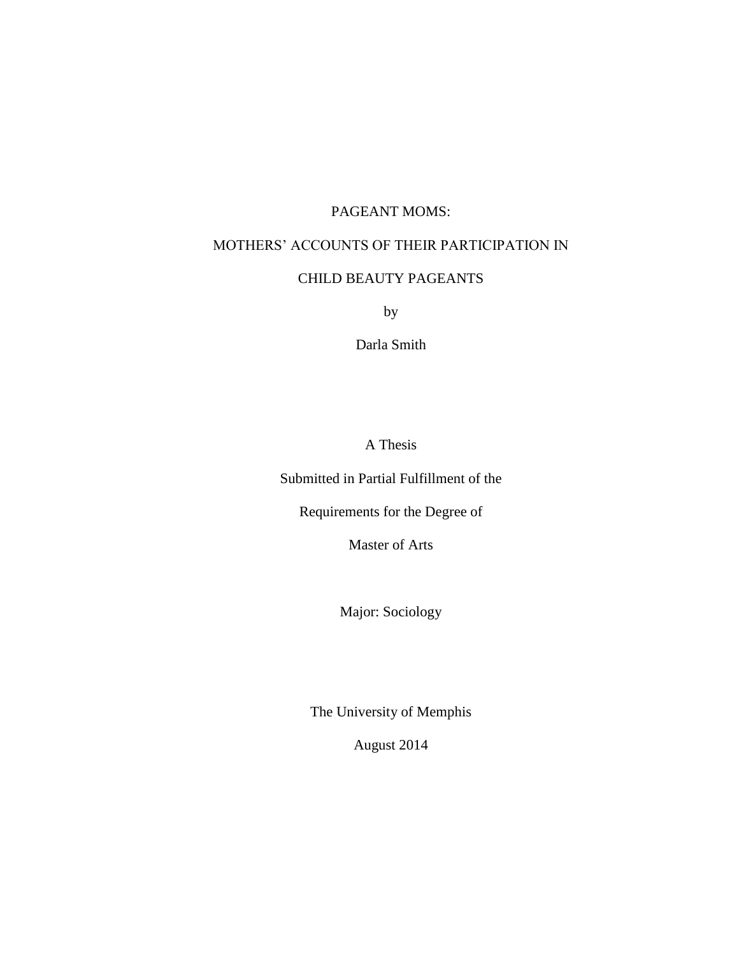# PAGEANT MOMS:

# MOTHERS' ACCOUNTS OF THEIR PARTICIPATION IN

# CHILD BEAUTY PAGEANTS

by

Darla Smith

A Thesis

Submitted in Partial Fulfillment of the

Requirements for the Degree of

Master of Arts

Major: Sociology

The University of Memphis

August 2014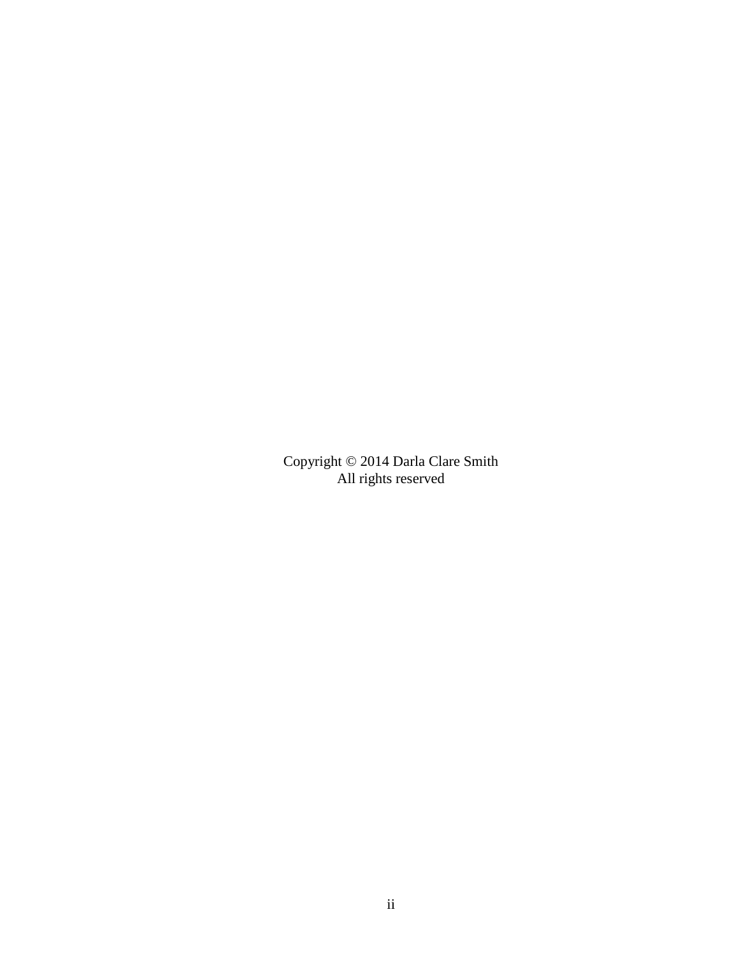Copyright © 2014 Darla Clare Smith All rights reserved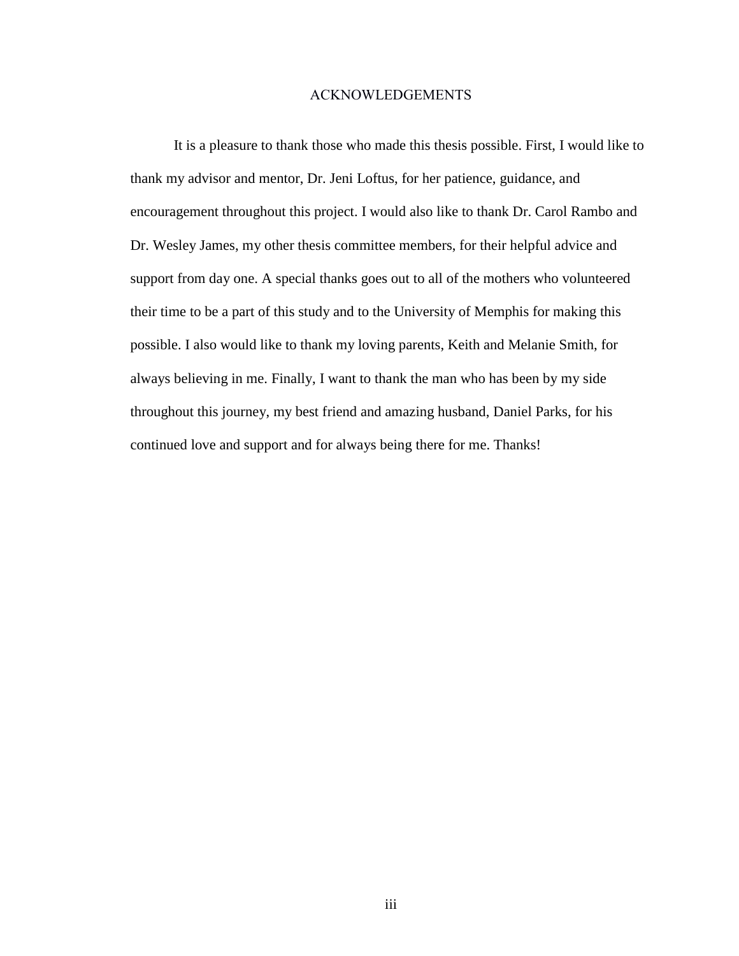#### ACKNOWLEDGEMENTS

It is a pleasure to thank those who made this thesis possible. First, I would like to thank my advisor and mentor, Dr. Jeni Loftus, for her patience, guidance, and encouragement throughout this project. I would also like to thank Dr. Carol Rambo and Dr. Wesley James, my other thesis committee members, for their helpful advice and support from day one. A special thanks goes out to all of the mothers who volunteered their time to be a part of this study and to the University of Memphis for making this possible. I also would like to thank my loving parents, Keith and Melanie Smith, for always believing in me. Finally, I want to thank the man who has been by my side throughout this journey, my best friend and amazing husband, Daniel Parks, for his continued love and support and for always being there for me. Thanks!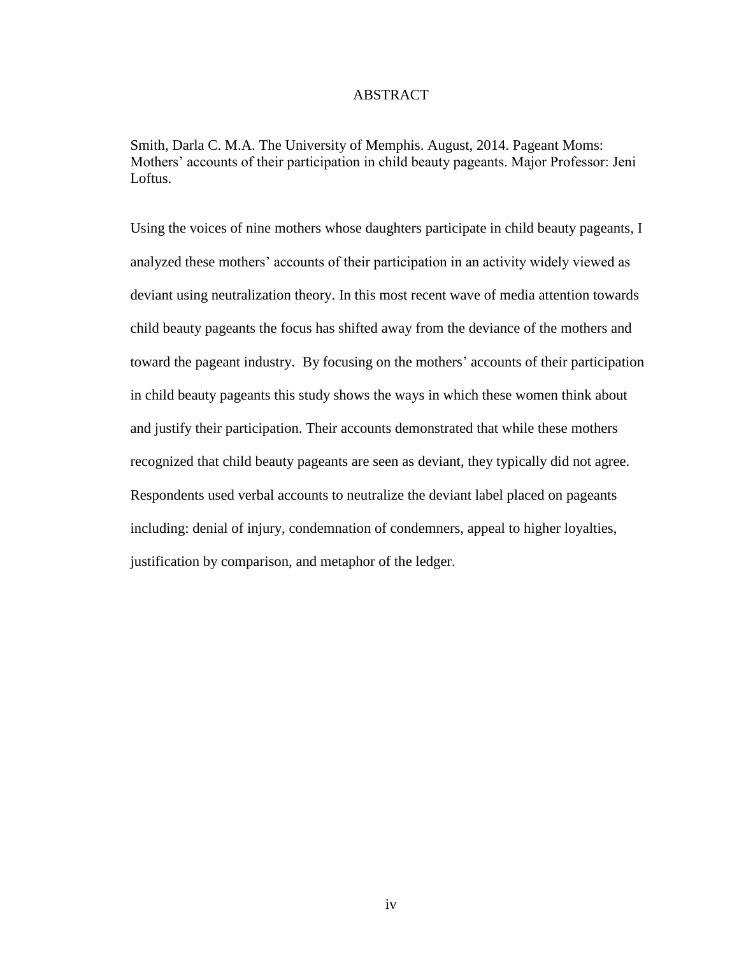# ABSTRACT

Smith, Darla C. M.A. The University of Memphis. August, 2014. Pageant Moms: Mothers' accounts of their participation in child beauty pageants. Major Professor: Jeni Loftus.

Using the voices of nine mothers whose daughters participate in child beauty pageants, I analyzed these mothers' accounts of their participation in an activity widely viewed as deviant using neutralization theory. In this most recent wave of media attention towards child beauty pageants the focus has shifted away from the deviance of the mothers and toward the pageant industry. By focusing on the mothers' accounts of their participation in child beauty pageants this study shows the ways in which these women think about and justify their participation. Their accounts demonstrated that while these mothers recognized that child beauty pageants are seen as deviant, they typically did not agree. Respondents used verbal accounts to neutralize the deviant label placed on pageants including: denial of injury, condemnation of condemners, appeal to higher loyalties, justification by comparison, and metaphor of the ledger.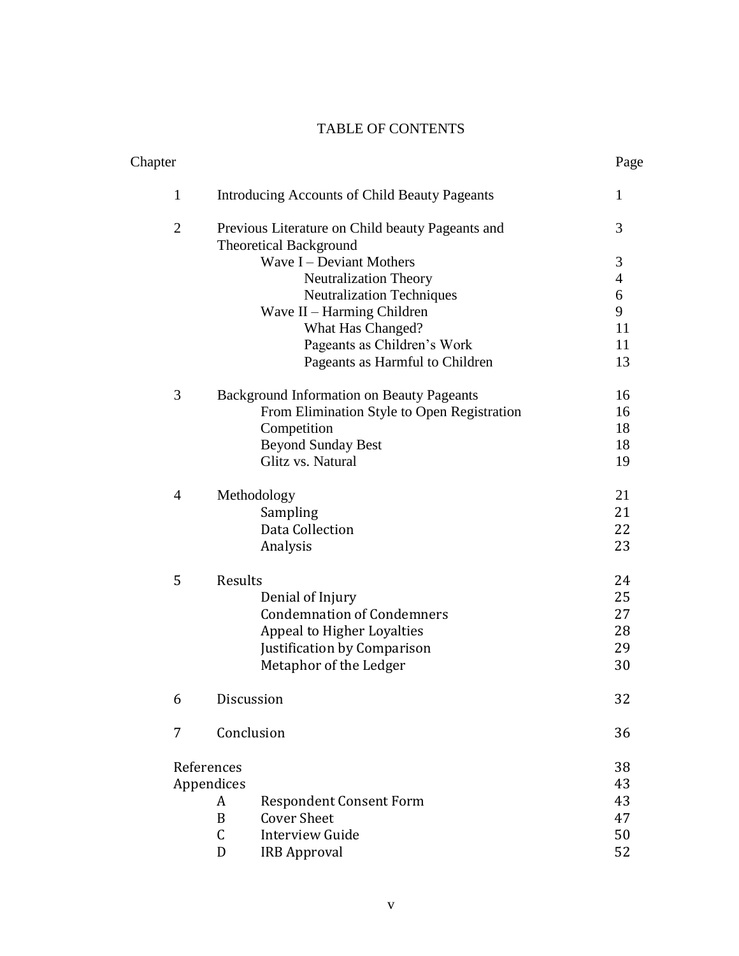# TABLE OF CONTENTS

| Chapter        |                                                                                   | Page           |
|----------------|-----------------------------------------------------------------------------------|----------------|
| $\mathbf{1}$   | Introducing Accounts of Child Beauty Pageants                                     | 1              |
| $\overline{2}$ | Previous Literature on Child beauty Pageants and<br><b>Theoretical Background</b> | 3              |
|                | Wave I – Deviant Mothers                                                          | 3              |
|                | <b>Neutralization Theory</b>                                                      | $\overline{4}$ |
|                | <b>Neutralization Techniques</b>                                                  | 6              |
|                | Wave II - Harming Children                                                        | 9              |
|                | What Has Changed?                                                                 | 11             |
|                | Pageants as Children's Work                                                       | 11             |
|                | Pageants as Harmful to Children                                                   | 13             |
| 3              | <b>Background Information on Beauty Pageants</b>                                  | 16             |
|                | From Elimination Style to Open Registration                                       | 16             |
|                | Competition                                                                       | 18             |
|                | <b>Beyond Sunday Best</b>                                                         | 18             |
|                | Glitz vs. Natural                                                                 | 19             |
| $\overline{4}$ | Methodology                                                                       | 21             |
|                | Sampling                                                                          | 21             |
|                | Data Collection                                                                   | 22             |
|                | Analysis                                                                          | 23             |
| 5              | Results                                                                           | 24             |
|                | Denial of Injury                                                                  | 25             |
|                | <b>Condemnation of Condemners</b>                                                 | 27             |
|                | Appeal to Higher Loyalties                                                        | 28             |
|                | Justification by Comparison                                                       | 29             |
|                | Metaphor of the Ledger                                                            | 30             |
| 6              | Discussion                                                                        | 32             |
| 7              | Conclusion                                                                        | 36             |
|                | References                                                                        | 38             |
|                | Appendices                                                                        |                |
|                | <b>Respondent Consent Form</b><br>A                                               | 43             |
|                | <b>Cover Sheet</b><br>B                                                           | 47             |
|                | $\mathsf C$<br><b>Interview Guide</b>                                             | 50             |
|                | D<br><b>IRB Approval</b>                                                          | 52             |
|                |                                                                                   |                |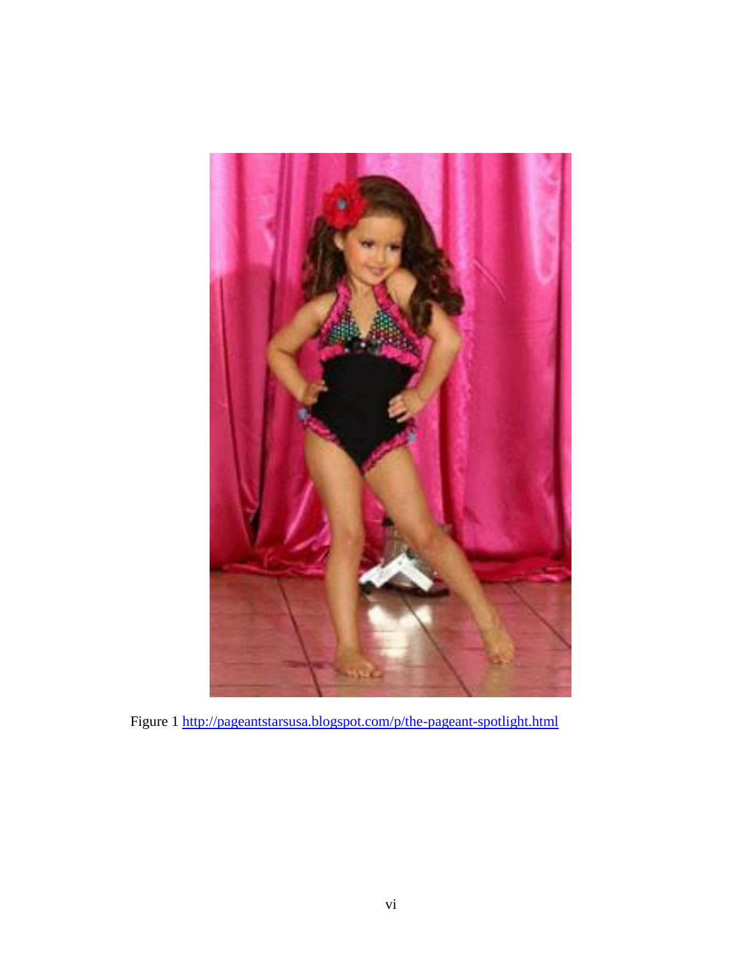

Figure 1 <http://pageantstarsusa.blogspot.com/p/the-pageant-spotlight.html>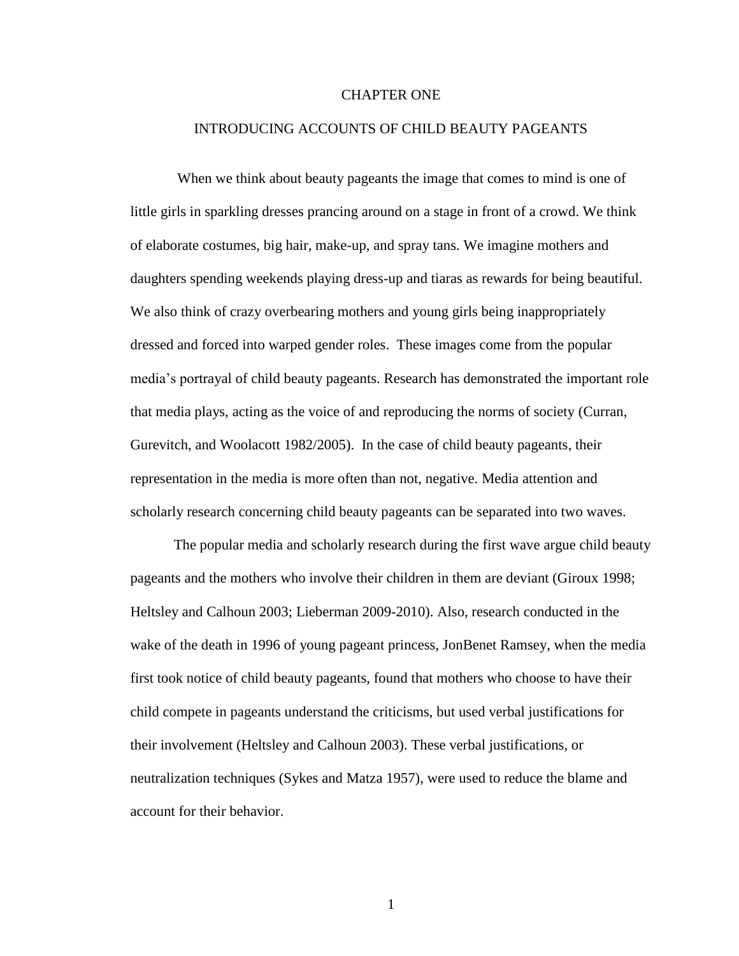#### CHAPTER ONE

#### INTRODUCING ACCOUNTS OF CHILD BEAUTY PAGEANTS

When we think about beauty pageants the image that comes to mind is one of little girls in sparkling dresses prancing around on a stage in front of a crowd. We think of elaborate costumes, big hair, make-up, and spray tans. We imagine mothers and daughters spending weekends playing dress-up and tiaras as rewards for being beautiful. We also think of crazy overbearing mothers and young girls being inappropriately dressed and forced into warped gender roles. These images come from the popular media's portrayal of child beauty pageants. Research has demonstrated the important role that media plays, acting as the voice of and reproducing the norms of society (Curran, Gurevitch, and Woolacott 1982/2005). In the case of child beauty pageants, their representation in the media is more often than not, negative. Media attention and scholarly research concerning child beauty pageants can be separated into two waves.

The popular media and scholarly research during the first wave argue child beauty pageants and the mothers who involve their children in them are deviant (Giroux 1998; Heltsley and Calhoun 2003; Lieberman 2009-2010). Also, research conducted in the wake of the death in 1996 of young pageant princess, JonBenet Ramsey, when the media first took notice of child beauty pageants, found that mothers who choose to have their child compete in pageants understand the criticisms, but used verbal justifications for their involvement (Heltsley and Calhoun 2003). These verbal justifications, or neutralization techniques (Sykes and Matza 1957), were used to reduce the blame and account for their behavior.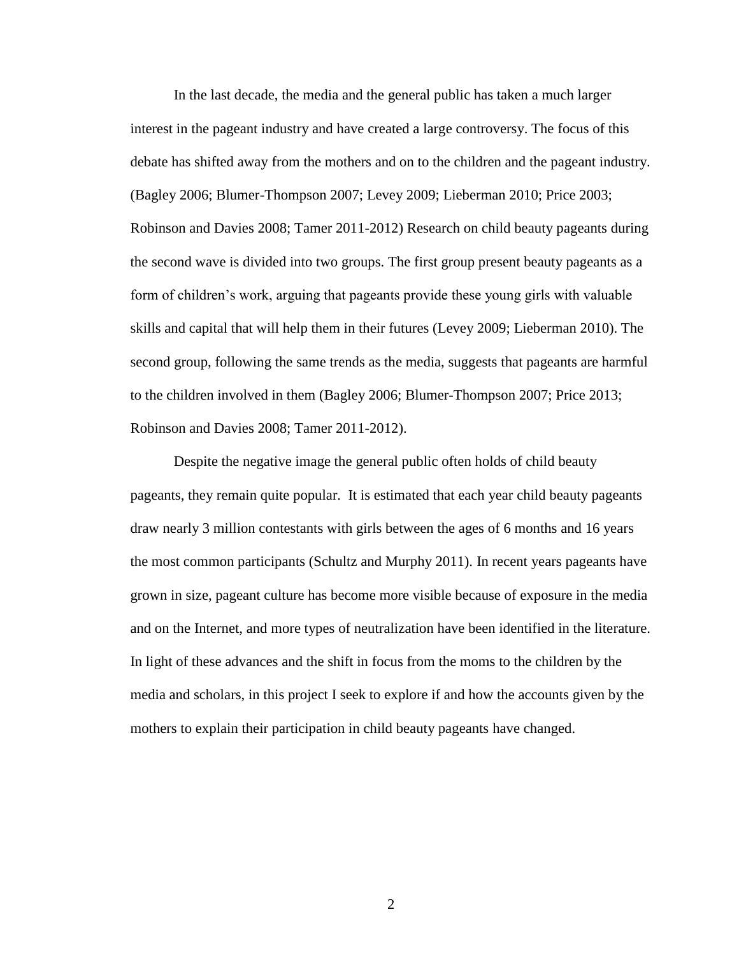In the last decade, the media and the general public has taken a much larger interest in the pageant industry and have created a large controversy. The focus of this debate has shifted away from the mothers and on to the children and the pageant industry. (Bagley 2006; Blumer-Thompson 2007; Levey 2009; Lieberman 2010; Price 2003; Robinson and Davies 2008; Tamer 2011-2012) Research on child beauty pageants during the second wave is divided into two groups. The first group present beauty pageants as a form of children's work, arguing that pageants provide these young girls with valuable skills and capital that will help them in their futures (Levey 2009; Lieberman 2010). The second group, following the same trends as the media, suggests that pageants are harmful to the children involved in them (Bagley 2006; Blumer-Thompson 2007; Price 2013; Robinson and Davies 2008; Tamer 2011-2012).

Despite the negative image the general public often holds of child beauty pageants, they remain quite popular. It is estimated that each year child beauty pageants draw nearly 3 million contestants with girls between the ages of 6 months and 16 years the most common participants (Schultz and Murphy 2011). In recent years pageants have grown in size, pageant culture has become more visible because of exposure in the media and on the Internet, and more types of neutralization have been identified in the literature. In light of these advances and the shift in focus from the moms to the children by the media and scholars, in this project I seek to explore if and how the accounts given by the mothers to explain their participation in child beauty pageants have changed.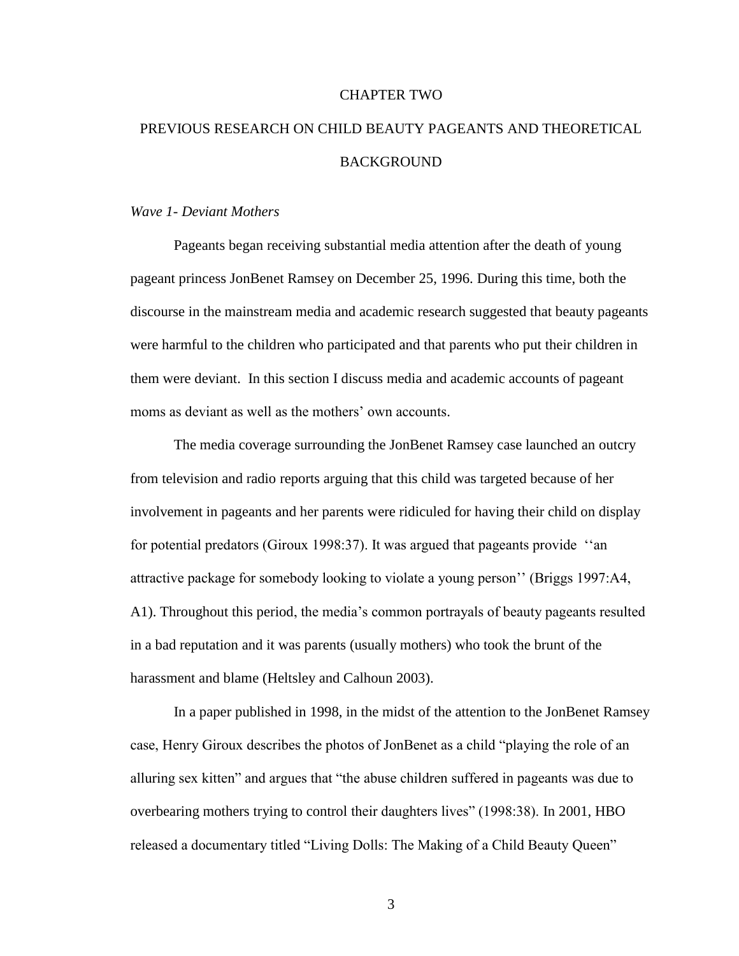#### CHAPTER TWO

# PREVIOUS RESEARCH ON CHILD BEAUTY PAGEANTS AND THEORETICAL BACKGROUND

#### *Wave 1- Deviant Mothers*

Pageants began receiving substantial media attention after the death of young pageant princess JonBenet Ramsey on December 25, 1996. During this time, both the discourse in the mainstream media and academic research suggested that beauty pageants were harmful to the children who participated and that parents who put their children in them were deviant. In this section I discuss media and academic accounts of pageant moms as deviant as well as the mothers' own accounts.

The media coverage surrounding the JonBenet Ramsey case launched an outcry from television and radio reports arguing that this child was targeted because of her involvement in pageants and her parents were ridiculed for having their child on display for potential predators (Giroux 1998:37). It was argued that pageants provide ''an attractive package for somebody looking to violate a young person'' (Briggs 1997:A4, A1). Throughout this period, the media's common portrayals of beauty pageants resulted in a bad reputation and it was parents (usually mothers) who took the brunt of the harassment and blame (Heltsley and Calhoun 2003).

In a paper published in 1998, in the midst of the attention to the JonBenet Ramsey case, Henry Giroux describes the photos of JonBenet as a child "playing the role of an alluring sex kitten" and argues that "the abuse children suffered in pageants was due to overbearing mothers trying to control their daughters lives" (1998:38). In 2001, HBO released a documentary titled "Living Dolls: The Making of a Child Beauty Queen"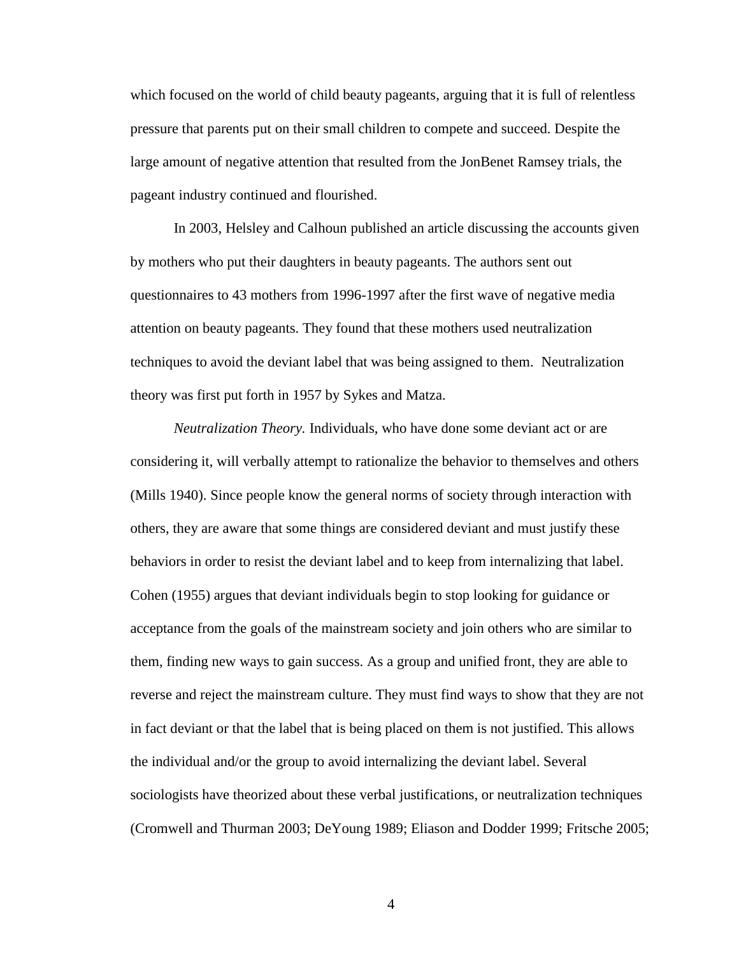which focused on the world of child beauty pageants, arguing that it is full of relentless pressure that parents put on their small children to compete and succeed. Despite the large amount of negative attention that resulted from the JonBenet Ramsey trials, the pageant industry continued and flourished.

In 2003, Helsley and Calhoun published an article discussing the accounts given by mothers who put their daughters in beauty pageants. The authors sent out questionnaires to 43 mothers from 1996-1997 after the first wave of negative media attention on beauty pageants. They found that these mothers used neutralization techniques to avoid the deviant label that was being assigned to them. Neutralization theory was first put forth in 1957 by Sykes and Matza.

*Neutralization Theory.* Individuals, who have done some deviant act or are considering it, will verbally attempt to rationalize the behavior to themselves and others (Mills 1940). Since people know the general norms of society through interaction with others, they are aware that some things are considered deviant and must justify these behaviors in order to resist the deviant label and to keep from internalizing that label. Cohen (1955) argues that deviant individuals begin to stop looking for guidance or acceptance from the goals of the mainstream society and join others who are similar to them, finding new ways to gain success. As a group and unified front, they are able to reverse and reject the mainstream culture. They must find ways to show that they are not in fact deviant or that the label that is being placed on them is not justified. This allows the individual and/or the group to avoid internalizing the deviant label. Several sociologists have theorized about these verbal justifications, or neutralization techniques (Cromwell and Thurman 2003; DeYoung 1989; Eliason and Dodder 1999; Fritsche 2005;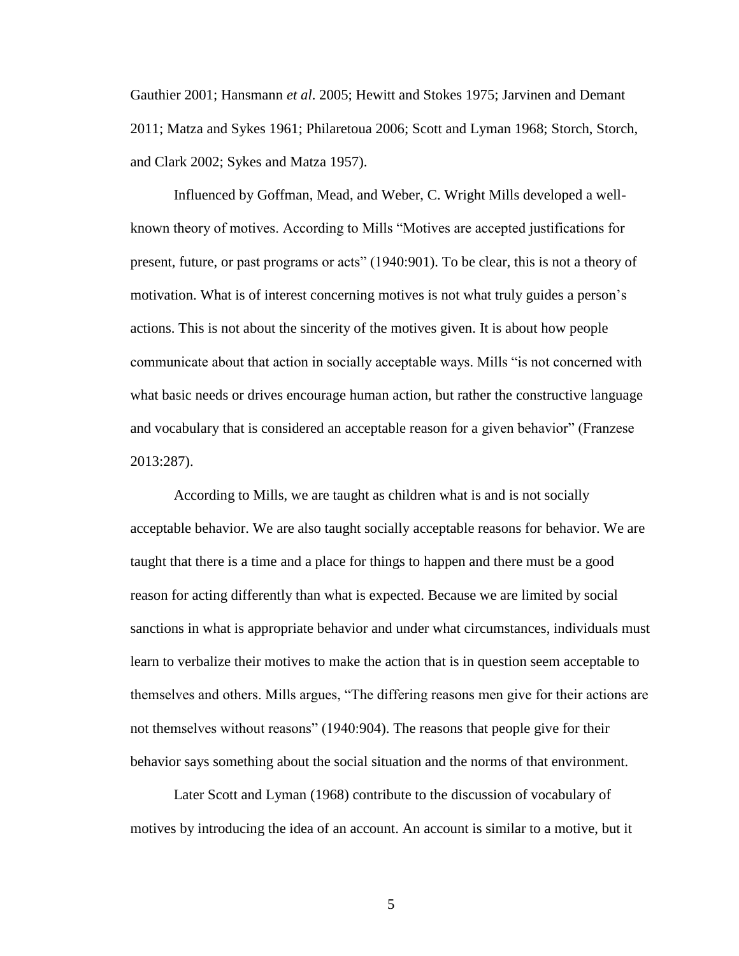Gauthier 2001; Hansmann *et al*. 2005; Hewitt and Stokes 1975; Jarvinen and Demant 2011; Matza and Sykes 1961; Philaretoua 2006; Scott and Lyman 1968; Storch, Storch, and Clark 2002; Sykes and Matza 1957).

Influenced by Goffman, Mead, and Weber, C. Wright Mills developed a wellknown theory of motives. According to Mills "Motives are accepted justifications for present, future, or past programs or acts" (1940:901). To be clear, this is not a theory of motivation. What is of interest concerning motives is not what truly guides a person's actions. This is not about the sincerity of the motives given. It is about how people communicate about that action in socially acceptable ways. Mills "is not concerned with what basic needs or drives encourage human action, but rather the constructive language and vocabulary that is considered an acceptable reason for a given behavior" (Franzese 2013:287).

According to Mills, we are taught as children what is and is not socially acceptable behavior. We are also taught socially acceptable reasons for behavior. We are taught that there is a time and a place for things to happen and there must be a good reason for acting differently than what is expected. Because we are limited by social sanctions in what is appropriate behavior and under what circumstances, individuals must learn to verbalize their motives to make the action that is in question seem acceptable to themselves and others. Mills argues, "The differing reasons men give for their actions are not themselves without reasons" (1940:904). The reasons that people give for their behavior says something about the social situation and the norms of that environment.

Later Scott and Lyman (1968) contribute to the discussion of vocabulary of motives by introducing the idea of an account. An account is similar to a motive, but it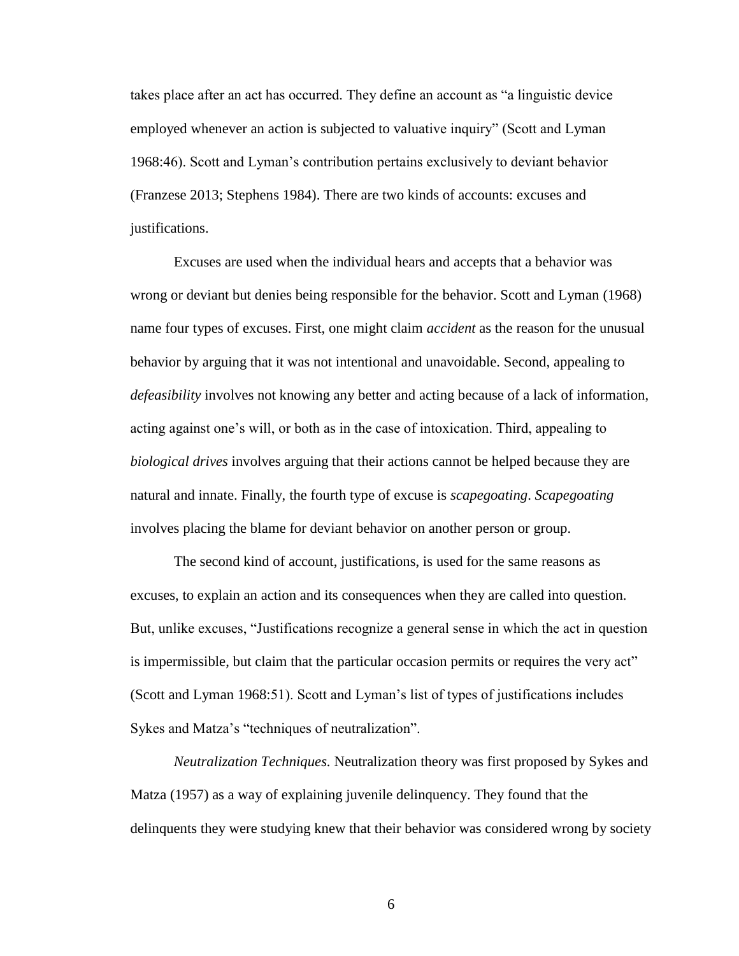takes place after an act has occurred. They define an account as "a linguistic device employed whenever an action is subjected to valuative inquiry" (Scott and Lyman 1968:46). Scott and Lyman's contribution pertains exclusively to deviant behavior (Franzese 2013; Stephens 1984). There are two kinds of accounts: excuses and justifications.

Excuses are used when the individual hears and accepts that a behavior was wrong or deviant but denies being responsible for the behavior. Scott and Lyman (1968) name four types of excuses. First, one might claim *accident* as the reason for the unusual behavior by arguing that it was not intentional and unavoidable. Second, appealing to *defeasibility* involves not knowing any better and acting because of a lack of information, acting against one's will, or both as in the case of intoxication. Third, appealing to *biological drives* involves arguing that their actions cannot be helped because they are natural and innate. Finally, the fourth type of excuse is *scapegoating*. *Scapegoating* involves placing the blame for deviant behavior on another person or group.

The second kind of account, justifications, is used for the same reasons as excuses, to explain an action and its consequences when they are called into question. But, unlike excuses, "Justifications recognize a general sense in which the act in question is impermissible, but claim that the particular occasion permits or requires the very act" (Scott and Lyman 1968:51). Scott and Lyman's list of types of justifications includes Sykes and Matza's "techniques of neutralization".

*Neutralization Techniques.* Neutralization theory was first proposed by Sykes and Matza (1957) as a way of explaining juvenile delinquency. They found that the delinquents they were studying knew that their behavior was considered wrong by society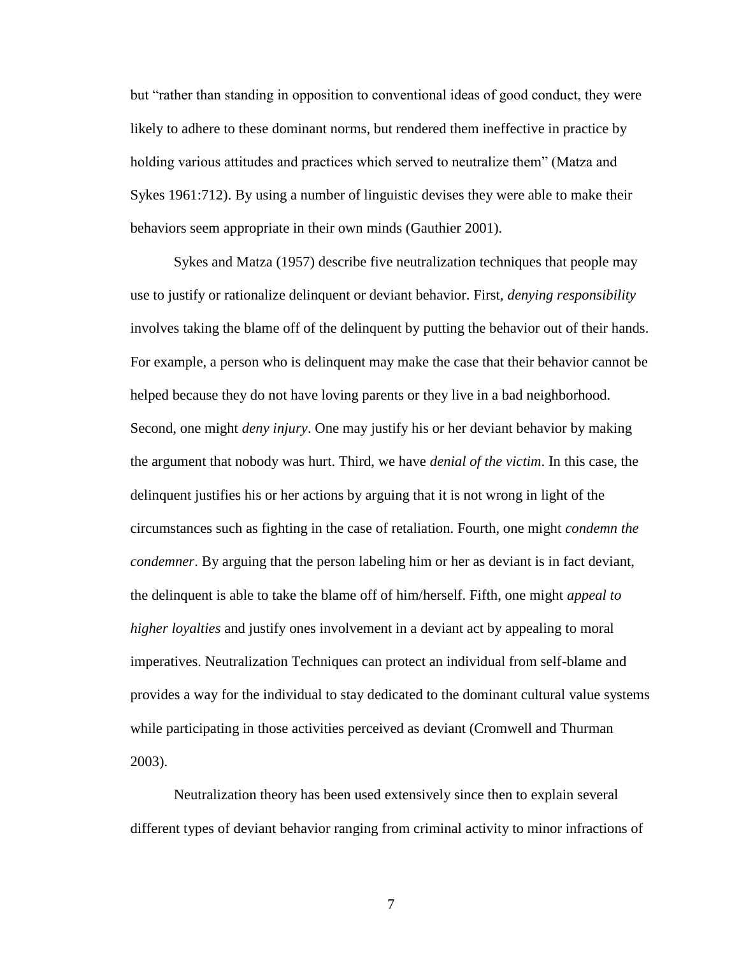but "rather than standing in opposition to conventional ideas of good conduct, they were likely to adhere to these dominant norms, but rendered them ineffective in practice by holding various attitudes and practices which served to neutralize them" (Matza and Sykes 1961:712). By using a number of linguistic devises they were able to make their behaviors seem appropriate in their own minds (Gauthier 2001).

Sykes and Matza (1957) describe five neutralization techniques that people may use to justify or rationalize delinquent or deviant behavior. First, *denying responsibility* involves taking the blame off of the delinquent by putting the behavior out of their hands. For example, a person who is delinquent may make the case that their behavior cannot be helped because they do not have loving parents or they live in a bad neighborhood. Second, one might *deny injury*. One may justify his or her deviant behavior by making the argument that nobody was hurt. Third, we have *denial of the victim*. In this case, the delinquent justifies his or her actions by arguing that it is not wrong in light of the circumstances such as fighting in the case of retaliation. Fourth, one might *condemn the condemner*. By arguing that the person labeling him or her as deviant is in fact deviant, the delinquent is able to take the blame off of him/herself. Fifth, one might *appeal to higher loyalties* and justify ones involvement in a deviant act by appealing to moral imperatives. Neutralization Techniques can protect an individual from self-blame and provides a way for the individual to stay dedicated to the dominant cultural value systems while participating in those activities perceived as deviant (Cromwell and Thurman 2003).

Neutralization theory has been used extensively since then to explain several different types of deviant behavior ranging from criminal activity to minor infractions of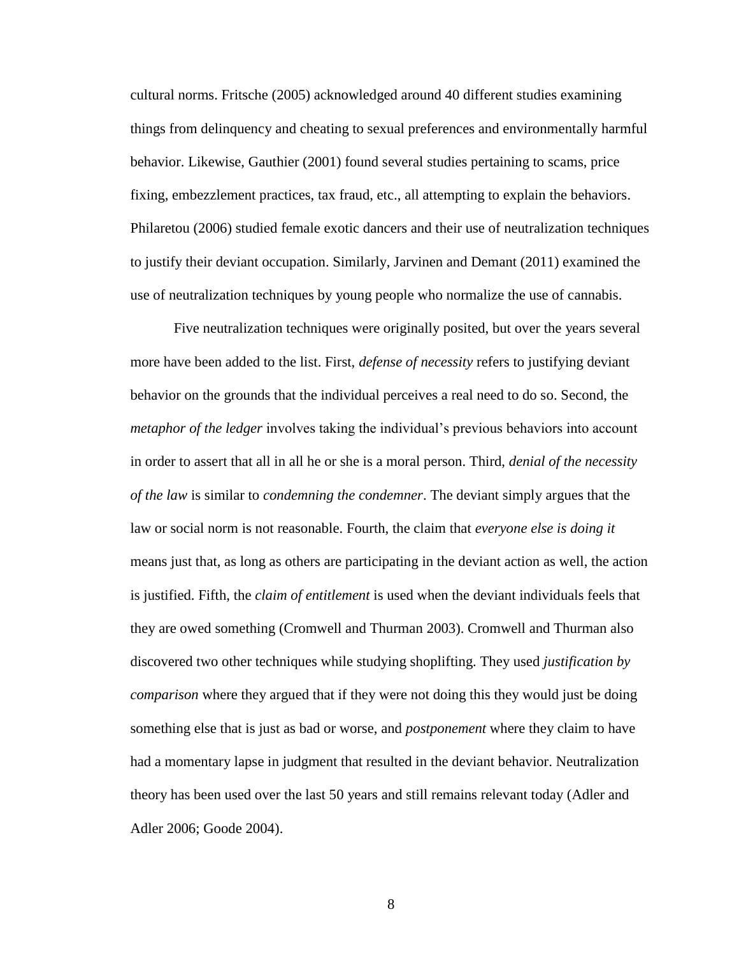cultural norms. Fritsche (2005) acknowledged around 40 different studies examining things from delinquency and cheating to sexual preferences and environmentally harmful behavior. Likewise, Gauthier (2001) found several studies pertaining to scams, price fixing, embezzlement practices, tax fraud, etc., all attempting to explain the behaviors. Philaretou (2006) studied female exotic dancers and their use of neutralization techniques to justify their deviant occupation. Similarly, Jarvinen and Demant (2011) examined the use of neutralization techniques by young people who normalize the use of cannabis.

Five neutralization techniques were originally posited, but over the years several more have been added to the list. First, *defense of necessity* refers to justifying deviant behavior on the grounds that the individual perceives a real need to do so. Second, the *metaphor of the ledger* involves taking the individual's previous behaviors into account in order to assert that all in all he or she is a moral person. Third, *denial of the necessity of the law* is similar to *condemning the condemner*. The deviant simply argues that the law or social norm is not reasonable. Fourth, the claim that *everyone else is doing it* means just that, as long as others are participating in the deviant action as well, the action is justified. Fifth, the *claim of entitlement* is used when the deviant individuals feels that they are owed something (Cromwell and Thurman 2003). Cromwell and Thurman also discovered two other techniques while studying shoplifting. They used *justification by comparison* where they argued that if they were not doing this they would just be doing something else that is just as bad or worse, and *postponement* where they claim to have had a momentary lapse in judgment that resulted in the deviant behavior. Neutralization theory has been used over the last 50 years and still remains relevant today (Adler and Adler 2006; Goode 2004).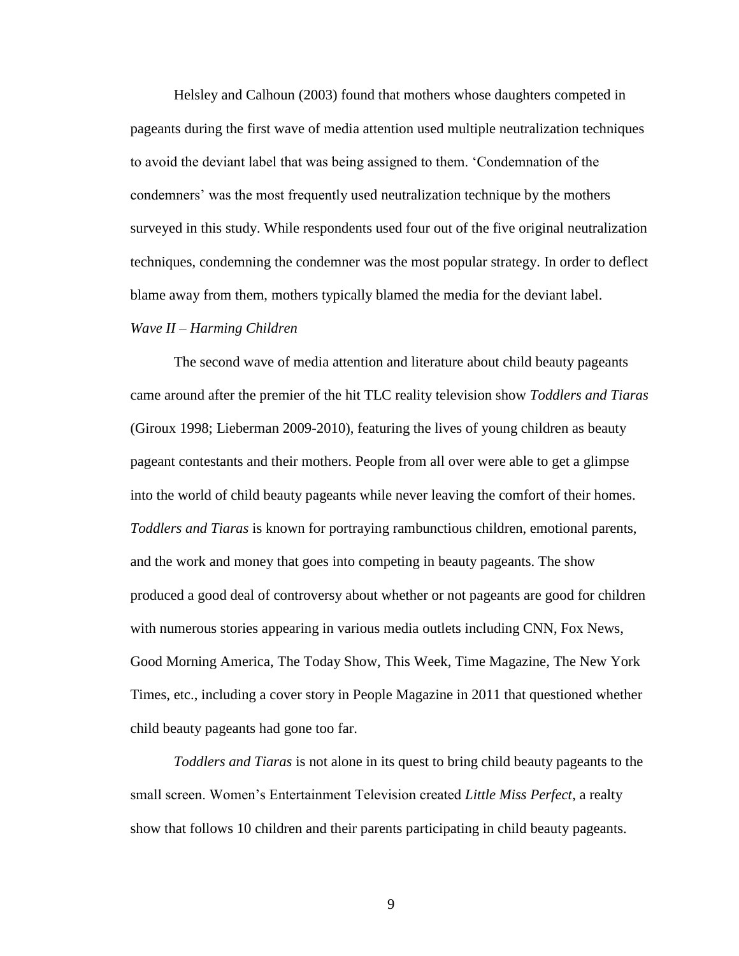Helsley and Calhoun (2003) found that mothers whose daughters competed in pageants during the first wave of media attention used multiple neutralization techniques to avoid the deviant label that was being assigned to them. 'Condemnation of the condemners' was the most frequently used neutralization technique by the mothers surveyed in this study. While respondents used four out of the five original neutralization techniques, condemning the condemner was the most popular strategy. In order to deflect blame away from them, mothers typically blamed the media for the deviant label.

#### *Wave II – Harming Children*

The second wave of media attention and literature about child beauty pageants came around after the premier of the hit TLC reality television show *Toddlers and Tiaras* (Giroux 1998; Lieberman 2009-2010), featuring the lives of young children as beauty pageant contestants and their mothers. People from all over were able to get a glimpse into the world of child beauty pageants while never leaving the comfort of their homes. *Toddlers and Tiaras* is known for portraying rambunctious children, emotional parents, and the work and money that goes into competing in beauty pageants. The show produced a good deal of controversy about whether or not pageants are good for children with numerous stories appearing in various media outlets including CNN, Fox News, Good Morning America, The Today Show, This Week, Time Magazine, The New York Times, etc., including a cover story in People Magazine in 2011 that questioned whether child beauty pageants had gone too far.

*Toddlers and Tiaras* is not alone in its quest to bring child beauty pageants to the small screen. Women's Entertainment Television created *Little Miss Perfect*, a realty show that follows 10 children and their parents participating in child beauty pageants.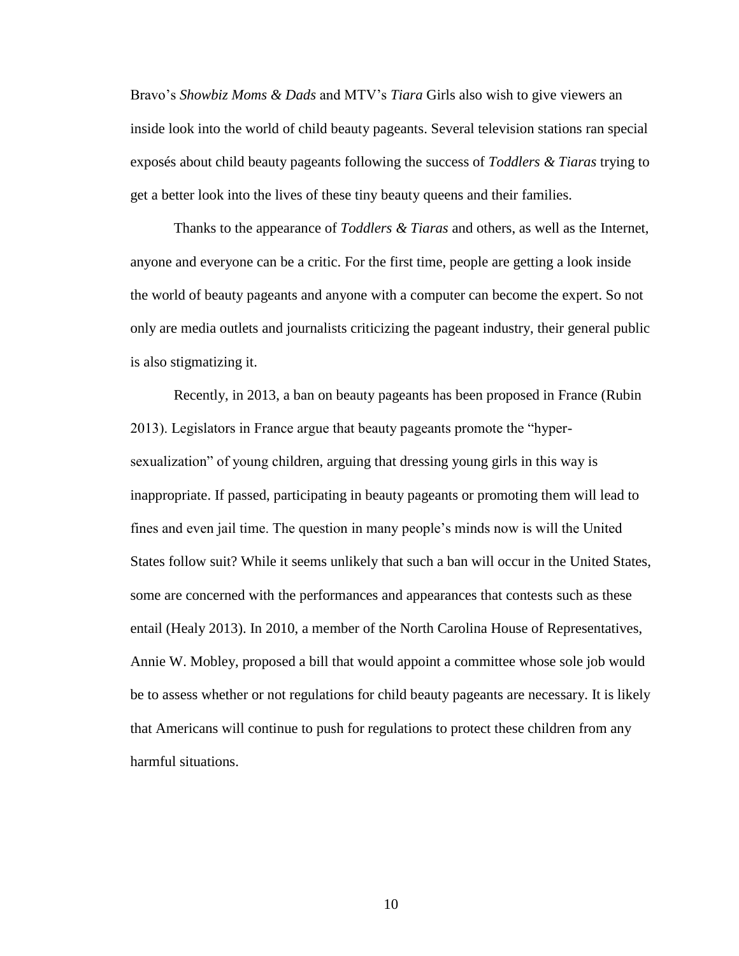Bravo's *Showbiz Moms & Dads* and MTV's *Tiara* Girls also wish to give viewers an inside look into the world of child beauty pageants. Several television stations ran special exposés about child beauty pageants following the success of *Toddlers & Tiaras* trying to get a better look into the lives of these tiny beauty queens and their families.

Thanks to the appearance of *Toddlers & Tiaras* and others, as well as the Internet, anyone and everyone can be a critic. For the first time, people are getting a look inside the world of beauty pageants and anyone with a computer can become the expert. So not only are media outlets and journalists criticizing the pageant industry, their general public is also stigmatizing it.

Recently, in 2013, a ban on beauty pageants has been proposed in France (Rubin 2013). Legislators in France argue that beauty pageants promote the "hypersexualization" of young children, arguing that dressing young girls in this way is inappropriate. If passed, participating in beauty pageants or promoting them will lead to fines and even jail time. The question in many people's minds now is will the United States follow suit? While it seems unlikely that such a ban will occur in the United States, some are concerned with the performances and appearances that contests such as these entail (Healy 2013). In 2010, a member of the North Carolina House of Representatives, Annie W. Mobley, proposed a bill that would appoint a committee whose sole job would be to assess whether or not regulations for child beauty pageants are necessary. It is likely that Americans will continue to push for regulations to protect these children from any harmful situations.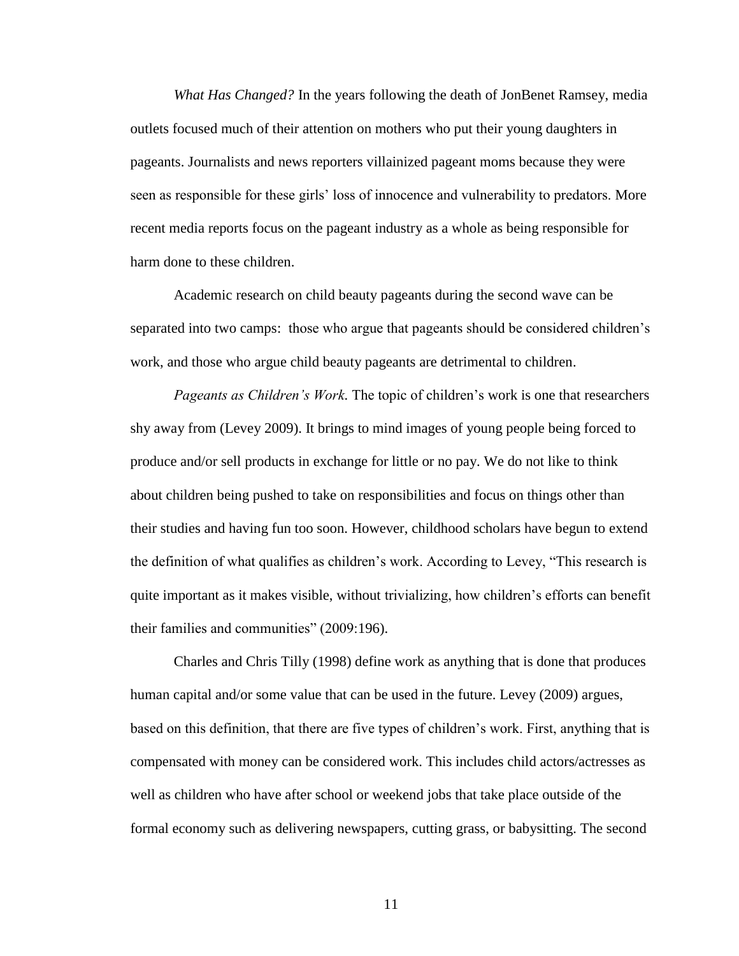*What Has Changed?* In the years following the death of JonBenet Ramsey, media outlets focused much of their attention on mothers who put their young daughters in pageants. Journalists and news reporters villainized pageant moms because they were seen as responsible for these girls' loss of innocence and vulnerability to predators. More recent media reports focus on the pageant industry as a whole as being responsible for harm done to these children.

Academic research on child beauty pageants during the second wave can be separated into two camps: those who argue that pageants should be considered children's work, and those who argue child beauty pageants are detrimental to children.

*Pageants as Children's Work.* The topic of children's work is one that researchers shy away from (Levey 2009). It brings to mind images of young people being forced to produce and/or sell products in exchange for little or no pay. We do not like to think about children being pushed to take on responsibilities and focus on things other than their studies and having fun too soon. However, childhood scholars have begun to extend the definition of what qualifies as children's work. According to Levey, "This research is quite important as it makes visible, without trivializing, how children's efforts can benefit their families and communities" (2009:196).

Charles and Chris Tilly (1998) define work as anything that is done that produces human capital and/or some value that can be used in the future. Levey (2009) argues, based on this definition, that there are five types of children's work. First, anything that is compensated with money can be considered work. This includes child actors/actresses as well as children who have after school or weekend jobs that take place outside of the formal economy such as delivering newspapers, cutting grass, or babysitting. The second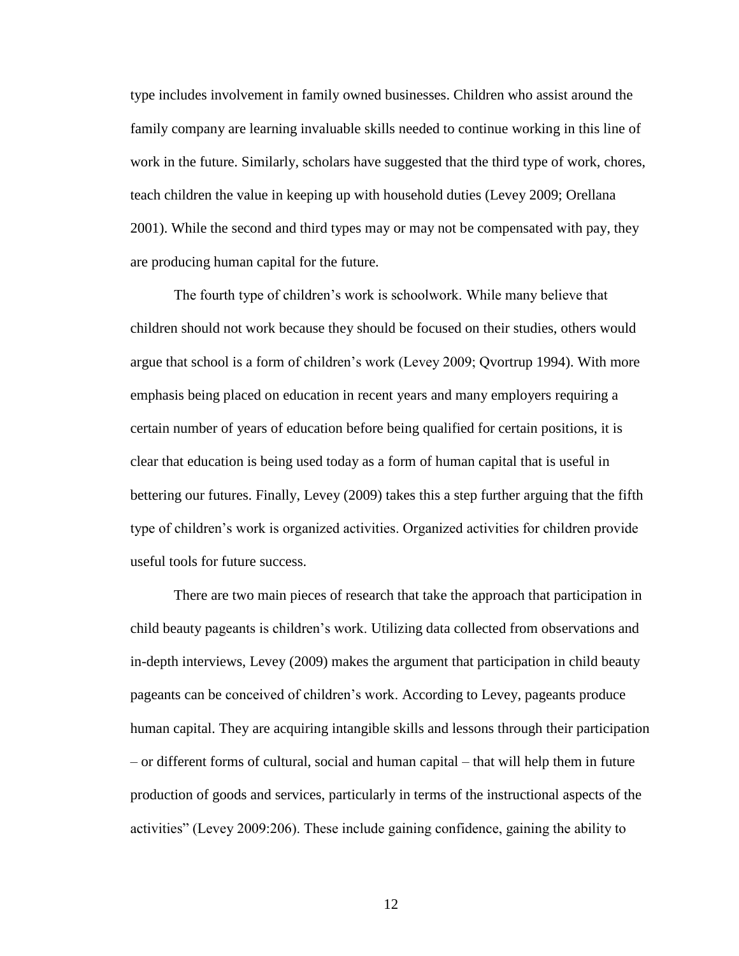type includes involvement in family owned businesses. Children who assist around the family company are learning invaluable skills needed to continue working in this line of work in the future. Similarly, scholars have suggested that the third type of work, chores, teach children the value in keeping up with household duties (Levey 2009; Orellana 2001). While the second and third types may or may not be compensated with pay, they are producing human capital for the future.

The fourth type of children's work is schoolwork. While many believe that children should not work because they should be focused on their studies, others would argue that school is a form of children's work (Levey 2009; Qvortrup 1994). With more emphasis being placed on education in recent years and many employers requiring a certain number of years of education before being qualified for certain positions, it is clear that education is being used today as a form of human capital that is useful in bettering our futures. Finally, Levey (2009) takes this a step further arguing that the fifth type of children's work is organized activities. Organized activities for children provide useful tools for future success.

There are two main pieces of research that take the approach that participation in child beauty pageants is children's work. Utilizing data collected from observations and in-depth interviews, Levey (2009) makes the argument that participation in child beauty pageants can be conceived of children's work. According to Levey, pageants produce human capital. They are acquiring intangible skills and lessons through their participation – or different forms of cultural, social and human capital – that will help them in future production of goods and services, particularly in terms of the instructional aspects of the activities" (Levey 2009:206). These include gaining confidence, gaining the ability to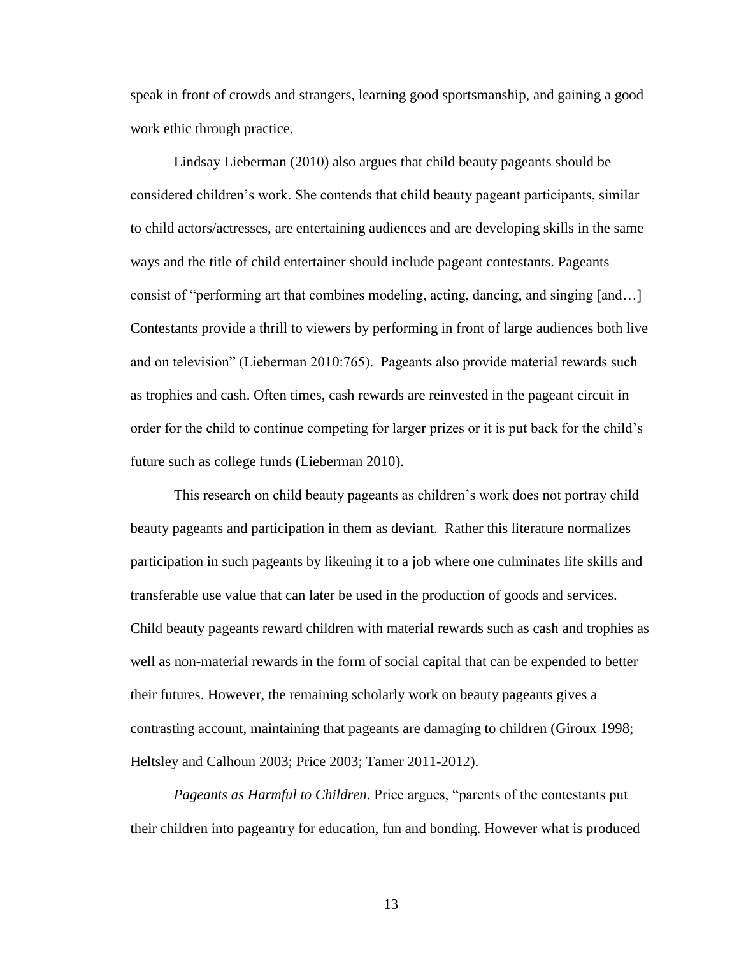speak in front of crowds and strangers, learning good sportsmanship, and gaining a good work ethic through practice.

Lindsay Lieberman (2010) also argues that child beauty pageants should be considered children's work. She contends that child beauty pageant participants, similar to child actors/actresses, are entertaining audiences and are developing skills in the same ways and the title of child entertainer should include pageant contestants. Pageants consist of "performing art that combines modeling, acting, dancing, and singing [and…] Contestants provide a thrill to viewers by performing in front of large audiences both live and on television" (Lieberman 2010:765). Pageants also provide material rewards such as trophies and cash. Often times, cash rewards are reinvested in the pageant circuit in order for the child to continue competing for larger prizes or it is put back for the child's future such as college funds (Lieberman 2010).

This research on child beauty pageants as children's work does not portray child beauty pageants and participation in them as deviant. Rather this literature normalizes participation in such pageants by likening it to a job where one culminates life skills and transferable use value that can later be used in the production of goods and services. Child beauty pageants reward children with material rewards such as cash and trophies as well as non-material rewards in the form of social capital that can be expended to better their futures. However, the remaining scholarly work on beauty pageants gives a contrasting account, maintaining that pageants are damaging to children (Giroux 1998; Heltsley and Calhoun 2003; Price 2003; Tamer 2011-2012).

*Pageants as Harmful to Children.* Price argues, "parents of the contestants put their children into pageantry for education, fun and bonding. However what is produced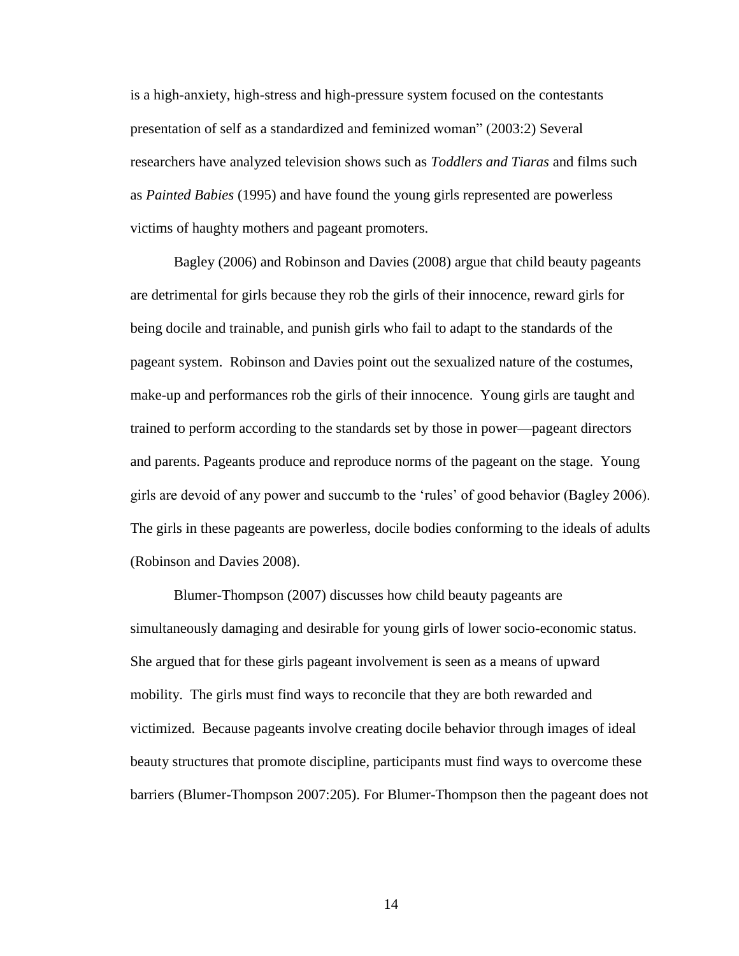is a high-anxiety, high-stress and high-pressure system focused on the contestants presentation of self as a standardized and feminized woman" (2003:2) Several researchers have analyzed television shows such as *Toddlers and Tiaras* and films such as *Painted Babies* (1995) and have found the young girls represented are powerless victims of haughty mothers and pageant promoters.

Bagley (2006) and Robinson and Davies (2008) argue that child beauty pageants are detrimental for girls because they rob the girls of their innocence, reward girls for being docile and trainable, and punish girls who fail to adapt to the standards of the pageant system. Robinson and Davies point out the sexualized nature of the costumes, make-up and performances rob the girls of their innocence. Young girls are taught and trained to perform according to the standards set by those in power—pageant directors and parents. Pageants produce and reproduce norms of the pageant on the stage. Young girls are devoid of any power and succumb to the 'rules' of good behavior (Bagley 2006). The girls in these pageants are powerless, docile bodies conforming to the ideals of adults (Robinson and Davies 2008).

Blumer-Thompson (2007) discusses how child beauty pageants are simultaneously damaging and desirable for young girls of lower socio-economic status. She argued that for these girls pageant involvement is seen as a means of upward mobility. The girls must find ways to reconcile that they are both rewarded and victimized. Because pageants involve creating docile behavior through images of ideal beauty structures that promote discipline, participants must find ways to overcome these barriers (Blumer-Thompson 2007:205). For Blumer-Thompson then the pageant does not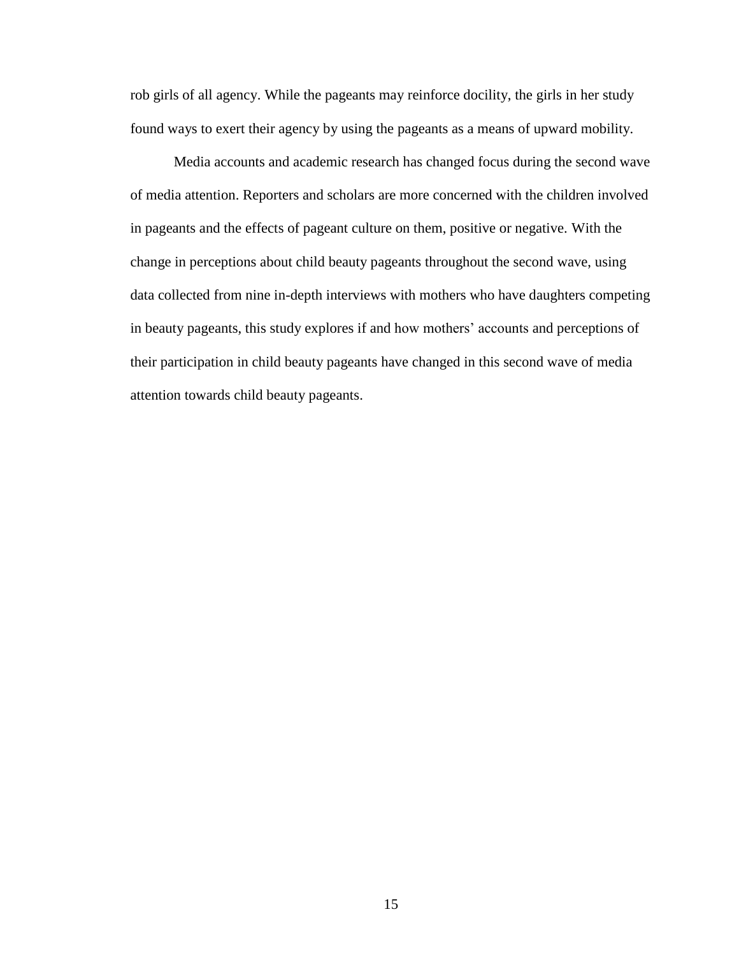rob girls of all agency. While the pageants may reinforce docility, the girls in her study found ways to exert their agency by using the pageants as a means of upward mobility.

Media accounts and academic research has changed focus during the second wave of media attention. Reporters and scholars are more concerned with the children involved in pageants and the effects of pageant culture on them, positive or negative. With the change in perceptions about child beauty pageants throughout the second wave, using data collected from nine in-depth interviews with mothers who have daughters competing in beauty pageants, this study explores if and how mothers' accounts and perceptions of their participation in child beauty pageants have changed in this second wave of media attention towards child beauty pageants.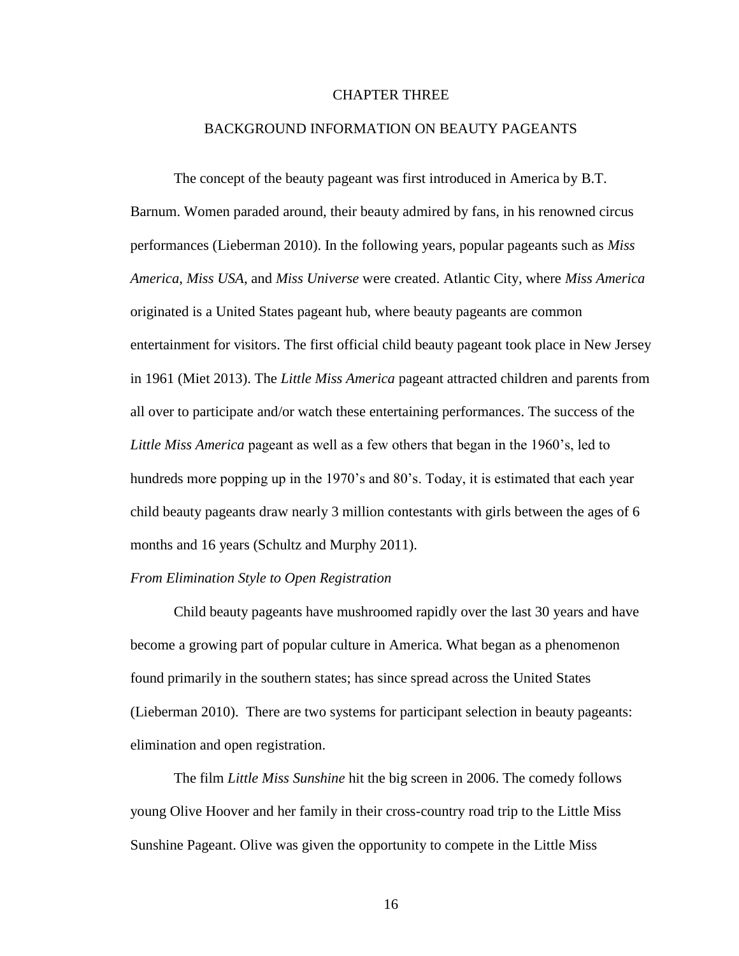#### CHAPTER THREE

#### BACKGROUND INFORMATION ON BEAUTY PAGEANTS

The concept of the beauty pageant was first introduced in America by B.T. Barnum. Women paraded around, their beauty admired by fans, in his renowned circus performances (Lieberman 2010). In the following years, popular pageants such as *Miss America*, *Miss USA*, and *Miss Universe* were created. Atlantic City, where *Miss America* originated is a United States pageant hub, where beauty pageants are common entertainment for visitors. The first official child beauty pageant took place in New Jersey in 1961 (Miet 2013). The *Little Miss America* pageant attracted children and parents from all over to participate and/or watch these entertaining performances. The success of the *Little Miss America* pageant as well as a few others that began in the 1960's, led to hundreds more popping up in the 1970's and 80's. Today, it is estimated that each year child beauty pageants draw nearly 3 million contestants with girls between the ages of 6 months and 16 years (Schultz and Murphy 2011).

#### *From Elimination Style to Open Registration*

Child beauty pageants have mushroomed rapidly over the last 30 years and have become a growing part of popular culture in America. What began as a phenomenon found primarily in the southern states; has since spread across the United States (Lieberman 2010). There are two systems for participant selection in beauty pageants: elimination and open registration.

The film *Little Miss Sunshine* hit the big screen in 2006. The comedy follows young Olive Hoover and her family in their cross-country road trip to the Little Miss Sunshine Pageant. Olive was given the opportunity to compete in the Little Miss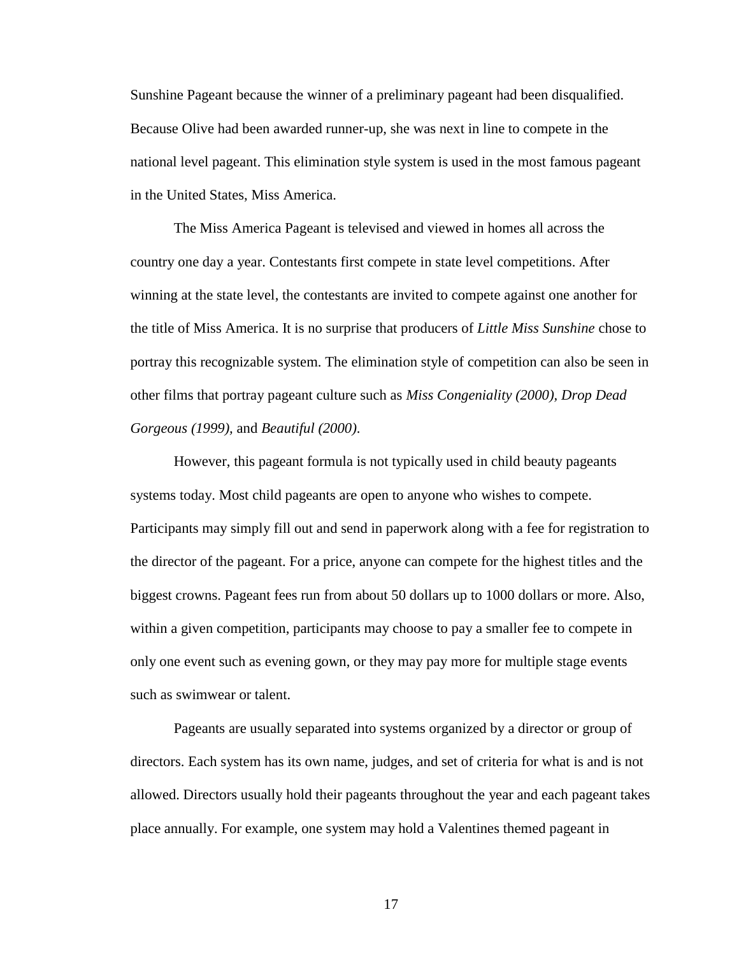Sunshine Pageant because the winner of a preliminary pageant had been disqualified. Because Olive had been awarded runner-up, she was next in line to compete in the national level pageant. This elimination style system is used in the most famous pageant in the United States, Miss America.

The Miss America Pageant is televised and viewed in homes all across the country one day a year. Contestants first compete in state level competitions. After winning at the state level, the contestants are invited to compete against one another for the title of Miss America. It is no surprise that producers of *Little Miss Sunshine* chose to portray this recognizable system. The elimination style of competition can also be seen in other films that portray pageant culture such as *Miss Congeniality (2000), Drop Dead Gorgeous (1999),* and *Beautiful (2000)*.

However, this pageant formula is not typically used in child beauty pageants systems today. Most child pageants are open to anyone who wishes to compete. Participants may simply fill out and send in paperwork along with a fee for registration to the director of the pageant. For a price, anyone can compete for the highest titles and the biggest crowns. Pageant fees run from about 50 dollars up to 1000 dollars or more. Also, within a given competition, participants may choose to pay a smaller fee to compete in only one event such as evening gown, or they may pay more for multiple stage events such as swimwear or talent.

Pageants are usually separated into systems organized by a director or group of directors. Each system has its own name, judges, and set of criteria for what is and is not allowed. Directors usually hold their pageants throughout the year and each pageant takes place annually. For example, one system may hold a Valentines themed pageant in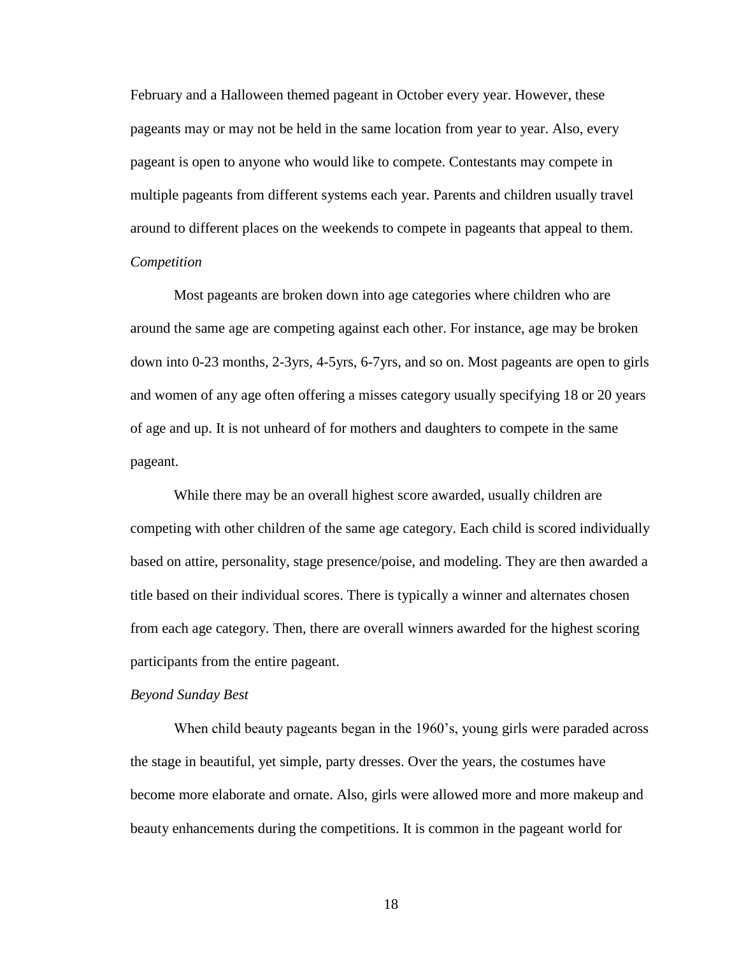February and a Halloween themed pageant in October every year. However, these pageants may or may not be held in the same location from year to year. Also, every pageant is open to anyone who would like to compete. Contestants may compete in multiple pageants from different systems each year. Parents and children usually travel around to different places on the weekends to compete in pageants that appeal to them. *Competition* 

Most pageants are broken down into age categories where children who are around the same age are competing against each other. For instance, age may be broken down into 0-23 months, 2-3yrs, 4-5yrs, 6-7yrs, and so on. Most pageants are open to girls and women of any age often offering a misses category usually specifying 18 or 20 years of age and up. It is not unheard of for mothers and daughters to compete in the same pageant.

While there may be an overall highest score awarded, usually children are competing with other children of the same age category. Each child is scored individually based on attire, personality, stage presence/poise, and modeling. They are then awarded a title based on their individual scores. There is typically a winner and alternates chosen from each age category. Then, there are overall winners awarded for the highest scoring participants from the entire pageant.

#### *Beyond Sunday Best*

When child beauty pageants began in the 1960's, young girls were paraded across the stage in beautiful, yet simple, party dresses. Over the years, the costumes have become more elaborate and ornate. Also, girls were allowed more and more makeup and beauty enhancements during the competitions. It is common in the pageant world for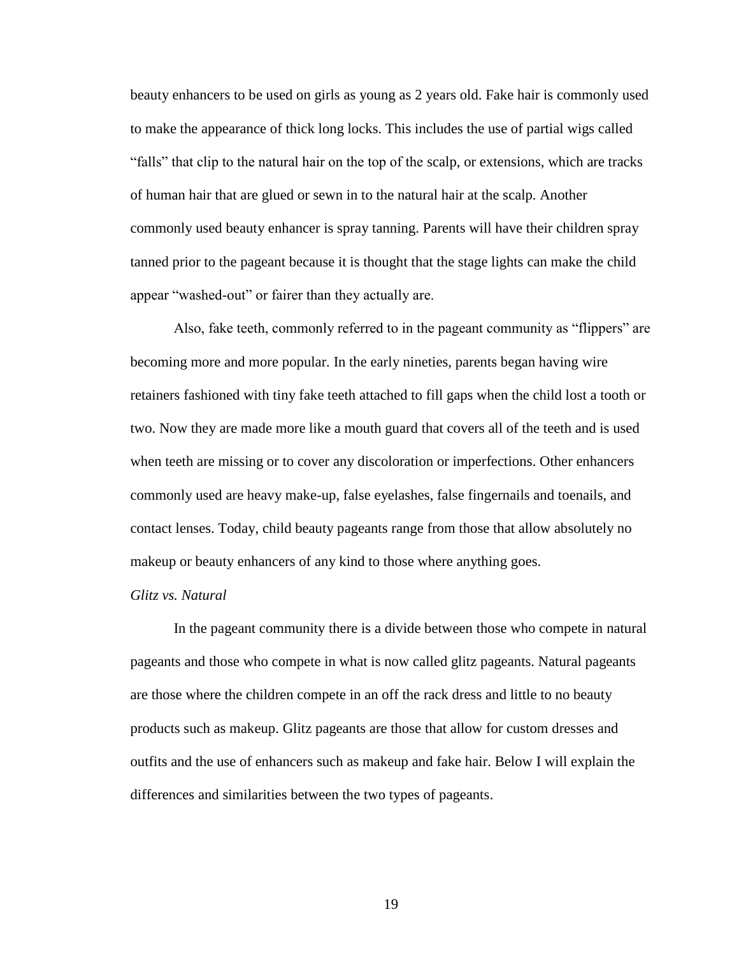beauty enhancers to be used on girls as young as 2 years old. Fake hair is commonly used to make the appearance of thick long locks. This includes the use of partial wigs called "falls" that clip to the natural hair on the top of the scalp, or extensions, which are tracks of human hair that are glued or sewn in to the natural hair at the scalp. Another commonly used beauty enhancer is spray tanning. Parents will have their children spray tanned prior to the pageant because it is thought that the stage lights can make the child appear "washed-out" or fairer than they actually are.

Also, fake teeth, commonly referred to in the pageant community as "flippers" are becoming more and more popular. In the early nineties, parents began having wire retainers fashioned with tiny fake teeth attached to fill gaps when the child lost a tooth or two. Now they are made more like a mouth guard that covers all of the teeth and is used when teeth are missing or to cover any discoloration or imperfections. Other enhancers commonly used are heavy make-up, false eyelashes, false fingernails and toenails, and contact lenses. Today, child beauty pageants range from those that allow absolutely no makeup or beauty enhancers of any kind to those where anything goes.

#### *Glitz vs. Natural*

In the pageant community there is a divide between those who compete in natural pageants and those who compete in what is now called glitz pageants. Natural pageants are those where the children compete in an off the rack dress and little to no beauty products such as makeup. Glitz pageants are those that allow for custom dresses and outfits and the use of enhancers such as makeup and fake hair. Below I will explain the differences and similarities between the two types of pageants.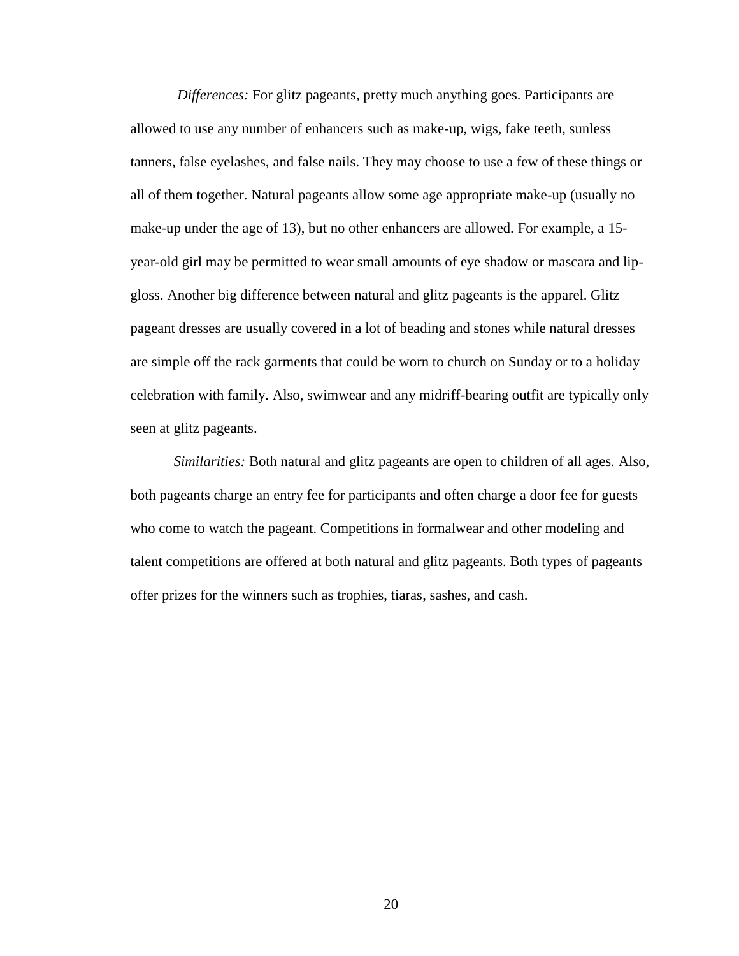*Differences:* For glitz pageants, pretty much anything goes. Participants are allowed to use any number of enhancers such as make-up, wigs, fake teeth, sunless tanners, false eyelashes, and false nails. They may choose to use a few of these things or all of them together. Natural pageants allow some age appropriate make-up (usually no make-up under the age of 13), but no other enhancers are allowed. For example, a 15 year-old girl may be permitted to wear small amounts of eye shadow or mascara and lipgloss. Another big difference between natural and glitz pageants is the apparel. Glitz pageant dresses are usually covered in a lot of beading and stones while natural dresses are simple off the rack garments that could be worn to church on Sunday or to a holiday celebration with family. Also, swimwear and any midriff-bearing outfit are typically only seen at glitz pageants.

*Similarities:* Both natural and glitz pageants are open to children of all ages. Also, both pageants charge an entry fee for participants and often charge a door fee for guests who come to watch the pageant. Competitions in formalwear and other modeling and talent competitions are offered at both natural and glitz pageants. Both types of pageants offer prizes for the winners such as trophies, tiaras, sashes, and cash.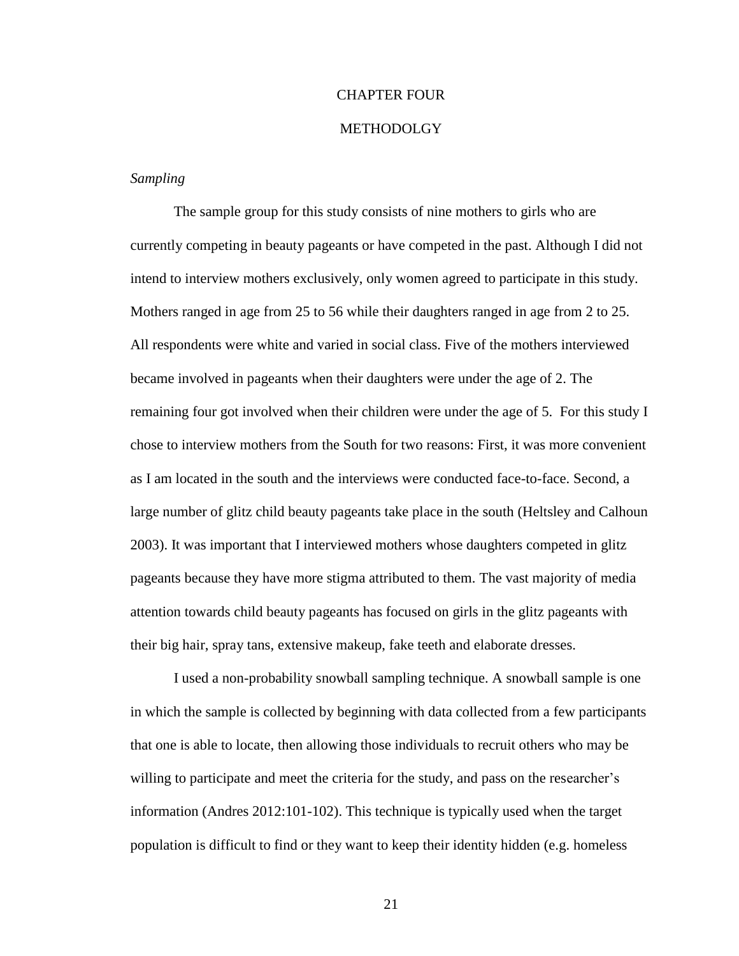# CHAPTER FOUR

#### METHODOLGY

#### *Sampling*

The sample group for this study consists of nine mothers to girls who are currently competing in beauty pageants or have competed in the past. Although I did not intend to interview mothers exclusively, only women agreed to participate in this study. Mothers ranged in age from 25 to 56 while their daughters ranged in age from 2 to 25. All respondents were white and varied in social class. Five of the mothers interviewed became involved in pageants when their daughters were under the age of 2. The remaining four got involved when their children were under the age of 5. For this study I chose to interview mothers from the South for two reasons: First, it was more convenient as I am located in the south and the interviews were conducted face-to-face. Second, a large number of glitz child beauty pageants take place in the south (Heltsley and Calhoun 2003). It was important that I interviewed mothers whose daughters competed in glitz pageants because they have more stigma attributed to them. The vast majority of media attention towards child beauty pageants has focused on girls in the glitz pageants with their big hair, spray tans, extensive makeup, fake teeth and elaborate dresses.

I used a non-probability snowball sampling technique. A snowball sample is one in which the sample is collected by beginning with data collected from a few participants that one is able to locate, then allowing those individuals to recruit others who may be willing to participate and meet the criteria for the study, and pass on the researcher's information (Andres 2012:101-102). This technique is typically used when the target population is difficult to find or they want to keep their identity hidden (e.g. homeless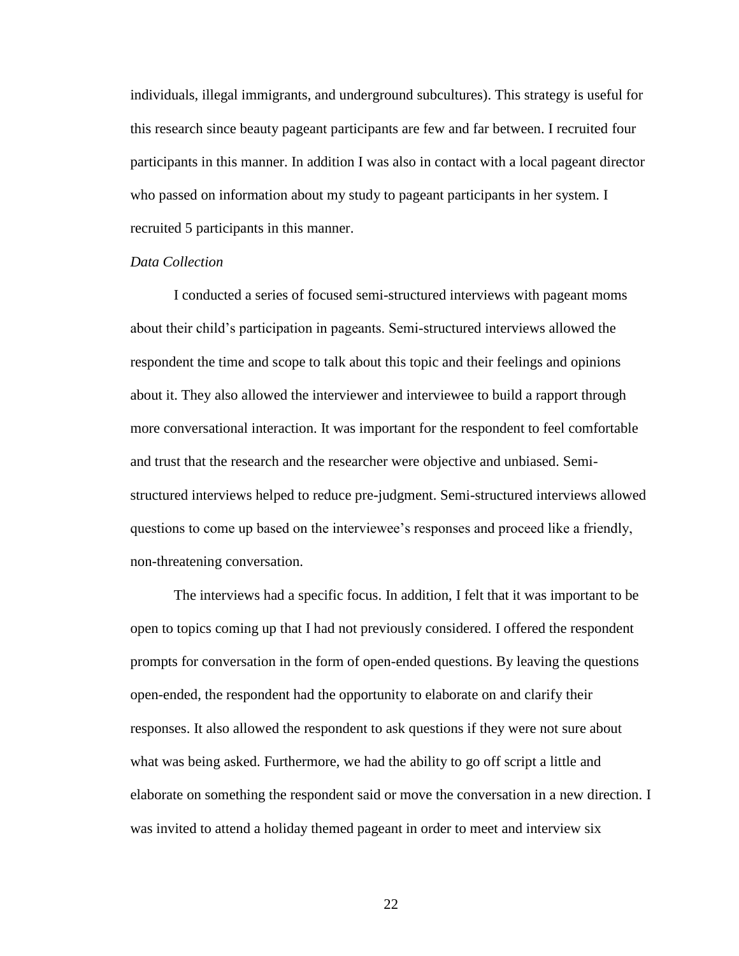individuals, illegal immigrants, and underground subcultures). This strategy is useful for this research since beauty pageant participants are few and far between. I recruited four participants in this manner. In addition I was also in contact with a local pageant director who passed on information about my study to pageant participants in her system. I recruited 5 participants in this manner.

### *Data Collection*

I conducted a series of focused semi-structured interviews with pageant moms about their child's participation in pageants. Semi-structured interviews allowed the respondent the time and scope to talk about this topic and their feelings and opinions about it. They also allowed the interviewer and interviewee to build a rapport through more conversational interaction. It was important for the respondent to feel comfortable and trust that the research and the researcher were objective and unbiased. Semistructured interviews helped to reduce pre-judgment. Semi-structured interviews allowed questions to come up based on the interviewee's responses and proceed like a friendly, non-threatening conversation.

The interviews had a specific focus. In addition, I felt that it was important to be open to topics coming up that I had not previously considered. I offered the respondent prompts for conversation in the form of open-ended questions. By leaving the questions open-ended, the respondent had the opportunity to elaborate on and clarify their responses. It also allowed the respondent to ask questions if they were not sure about what was being asked. Furthermore, we had the ability to go off script a little and elaborate on something the respondent said or move the conversation in a new direction. I was invited to attend a holiday themed pageant in order to meet and interview six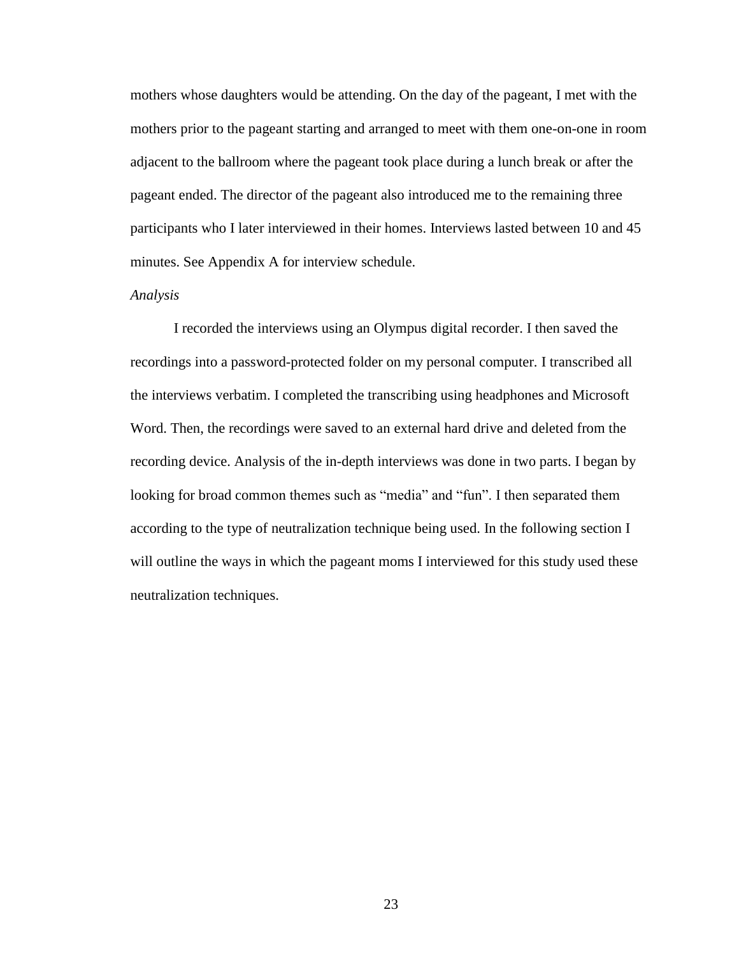mothers whose daughters would be attending. On the day of the pageant, I met with the mothers prior to the pageant starting and arranged to meet with them one-on-one in room adjacent to the ballroom where the pageant took place during a lunch break or after the pageant ended. The director of the pageant also introduced me to the remaining three participants who I later interviewed in their homes. Interviews lasted between 10 and 45 minutes. See Appendix A for interview schedule.

#### *Analysis*

I recorded the interviews using an Olympus digital recorder. I then saved the recordings into a password-protected folder on my personal computer. I transcribed all the interviews verbatim. I completed the transcribing using headphones and Microsoft Word. Then, the recordings were saved to an external hard drive and deleted from the recording device. Analysis of the in-depth interviews was done in two parts. I began by looking for broad common themes such as "media" and "fun". I then separated them according to the type of neutralization technique being used. In the following section I will outline the ways in which the pageant moms I interviewed for this study used these neutralization techniques.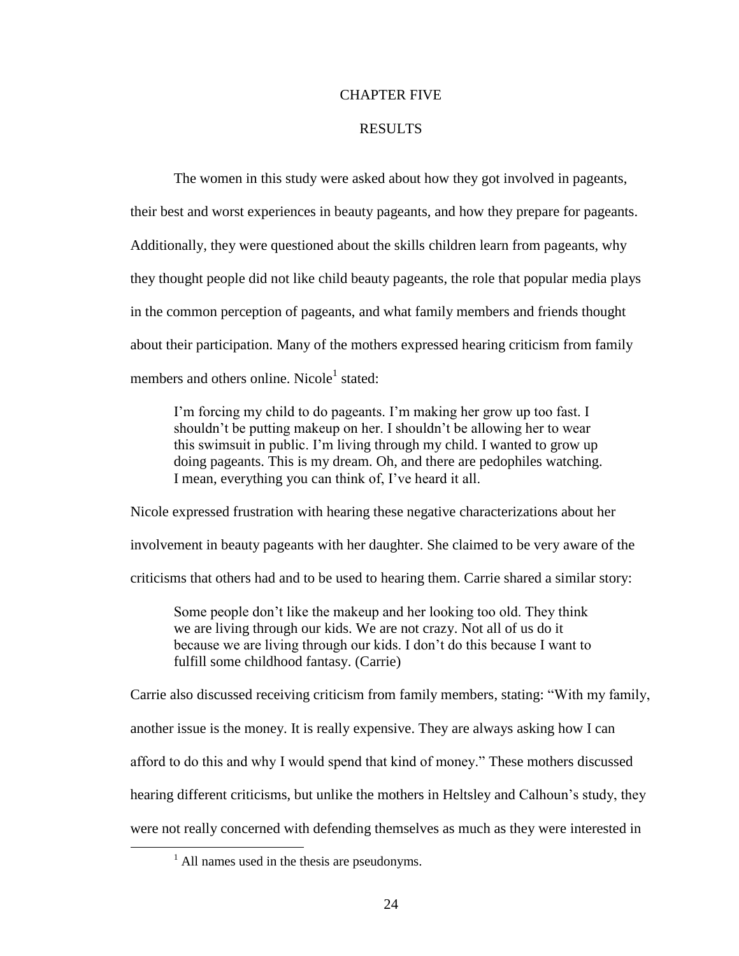#### CHAPTER FIVE

#### RESULTS

The women in this study were asked about how they got involved in pageants, their best and worst experiences in beauty pageants, and how they prepare for pageants. Additionally, they were questioned about the skills children learn from pageants, why they thought people did not like child beauty pageants, the role that popular media plays in the common perception of pageants, and what family members and friends thought about their participation. Many of the mothers expressed hearing criticism from family members and others online. Nicole<sup>1</sup> stated:

I'm forcing my child to do pageants. I'm making her grow up too fast. I shouldn't be putting makeup on her. I shouldn't be allowing her to wear this swimsuit in public. I'm living through my child. I wanted to grow up doing pageants. This is my dream. Oh, and there are pedophiles watching. I mean, everything you can think of, I've heard it all.

Nicole expressed frustration with hearing these negative characterizations about her involvement in beauty pageants with her daughter. She claimed to be very aware of the criticisms that others had and to be used to hearing them. Carrie shared a similar story:

Some people don't like the makeup and her looking too old. They think we are living through our kids. We are not crazy. Not all of us do it because we are living through our kids. I don't do this because I want to fulfill some childhood fantasy. (Carrie)

Carrie also discussed receiving criticism from family members, stating: "With my family, another issue is the money. It is really expensive. They are always asking how I can afford to do this and why I would spend that kind of money." These mothers discussed hearing different criticisms, but unlike the mothers in Heltsley and Calhoun's study, they were not really concerned with defending themselves as much as they were interested in

 $\overline{a}$ 

 $<sup>1</sup>$  All names used in the thesis are pseudonyms.</sup>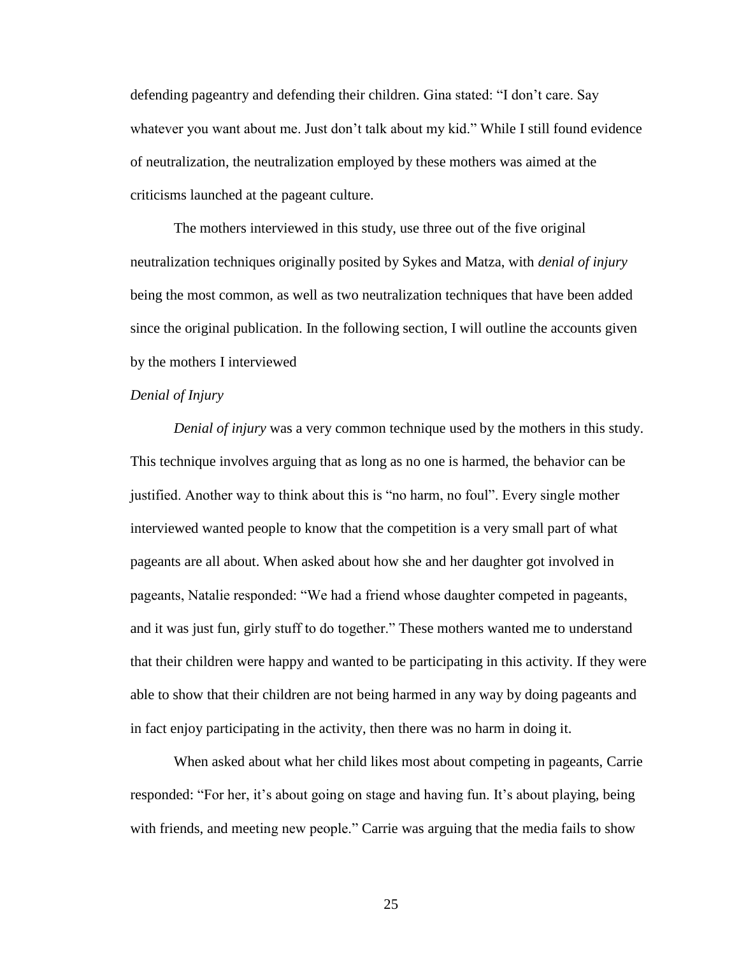defending pageantry and defending their children. Gina stated: "I don't care. Say whatever you want about me. Just don't talk about my kid." While I still found evidence of neutralization, the neutralization employed by these mothers was aimed at the criticisms launched at the pageant culture.

The mothers interviewed in this study, use three out of the five original neutralization techniques originally posited by Sykes and Matza, with *denial of injury* being the most common, as well as two neutralization techniques that have been added since the original publication. In the following section, I will outline the accounts given by the mothers I interviewed

### *Denial of Injury*

*Denial of injury* was a very common technique used by the mothers in this study. This technique involves arguing that as long as no one is harmed, the behavior can be justified. Another way to think about this is "no harm, no foul". Every single mother interviewed wanted people to know that the competition is a very small part of what pageants are all about. When asked about how she and her daughter got involved in pageants, Natalie responded: "We had a friend whose daughter competed in pageants, and it was just fun, girly stuff to do together." These mothers wanted me to understand that their children were happy and wanted to be participating in this activity. If they were able to show that their children are not being harmed in any way by doing pageants and in fact enjoy participating in the activity, then there was no harm in doing it.

When asked about what her child likes most about competing in pageants, Carrie responded: "For her, it's about going on stage and having fun. It's about playing, being with friends, and meeting new people." Carrie was arguing that the media fails to show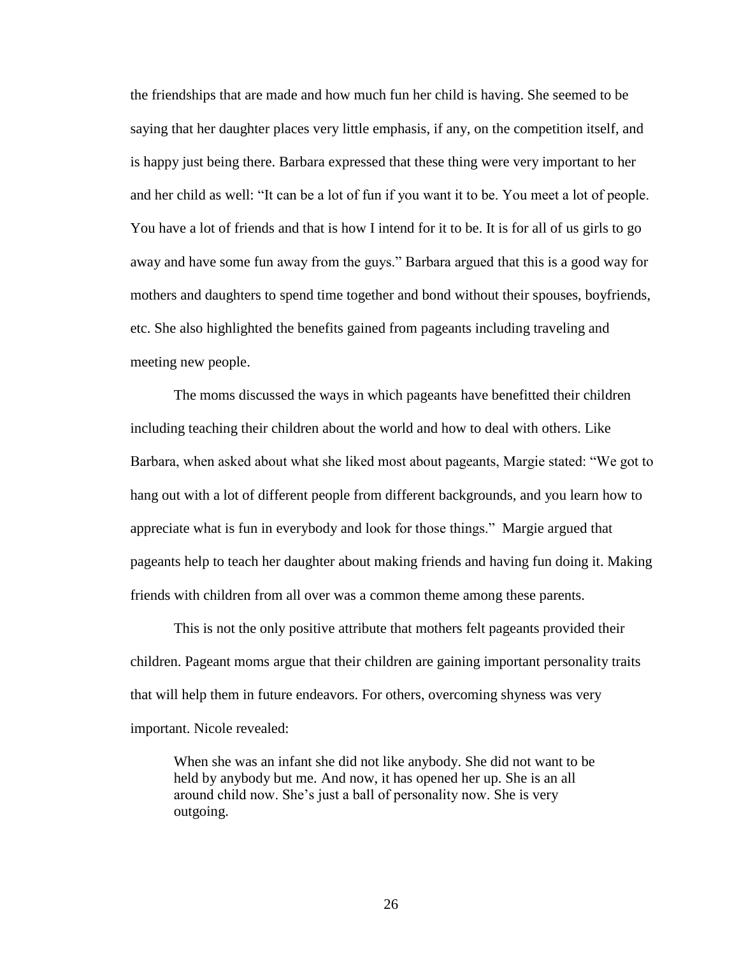the friendships that are made and how much fun her child is having. She seemed to be saying that her daughter places very little emphasis, if any, on the competition itself, and is happy just being there. Barbara expressed that these thing were very important to her and her child as well: "It can be a lot of fun if you want it to be. You meet a lot of people. You have a lot of friends and that is how I intend for it to be. It is for all of us girls to go away and have some fun away from the guys." Barbara argued that this is a good way for mothers and daughters to spend time together and bond without their spouses, boyfriends, etc. She also highlighted the benefits gained from pageants including traveling and meeting new people.

The moms discussed the ways in which pageants have benefitted their children including teaching their children about the world and how to deal with others. Like Barbara, when asked about what she liked most about pageants, Margie stated: "We got to hang out with a lot of different people from different backgrounds, and you learn how to appreciate what is fun in everybody and look for those things." Margie argued that pageants help to teach her daughter about making friends and having fun doing it. Making friends with children from all over was a common theme among these parents.

 This is not the only positive attribute that mothers felt pageants provided their children. Pageant moms argue that their children are gaining important personality traits that will help them in future endeavors. For others, overcoming shyness was very important. Nicole revealed:

When she was an infant she did not like anybody. She did not want to be held by anybody but me. And now, it has opened her up. She is an all around child now. She's just a ball of personality now. She is very outgoing.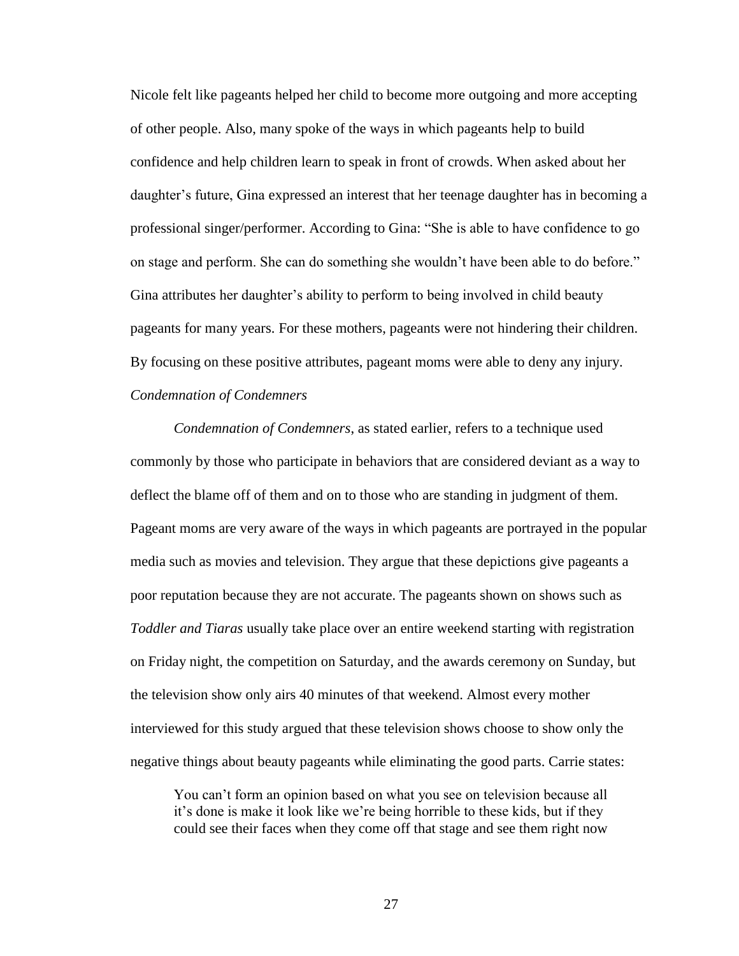Nicole felt like pageants helped her child to become more outgoing and more accepting of other people. Also, many spoke of the ways in which pageants help to build confidence and help children learn to speak in front of crowds. When asked about her daughter's future, Gina expressed an interest that her teenage daughter has in becoming a professional singer/performer. According to Gina: "She is able to have confidence to go on stage and perform. She can do something she wouldn't have been able to do before." Gina attributes her daughter's ability to perform to being involved in child beauty pageants for many years. For these mothers, pageants were not hindering their children. By focusing on these positive attributes, pageant moms were able to deny any injury. *Condemnation of Condemners* 

*Condemnation of Condemners*, as stated earlier, refers to a technique used commonly by those who participate in behaviors that are considered deviant as a way to deflect the blame off of them and on to those who are standing in judgment of them. Pageant moms are very aware of the ways in which pageants are portrayed in the popular media such as movies and television. They argue that these depictions give pageants a poor reputation because they are not accurate. The pageants shown on shows such as *Toddler and Tiaras* usually take place over an entire weekend starting with registration on Friday night, the competition on Saturday, and the awards ceremony on Sunday, but the television show only airs 40 minutes of that weekend. Almost every mother interviewed for this study argued that these television shows choose to show only the negative things about beauty pageants while eliminating the good parts. Carrie states:

You can't form an opinion based on what you see on television because all it's done is make it look like we're being horrible to these kids, but if they could see their faces when they come off that stage and see them right now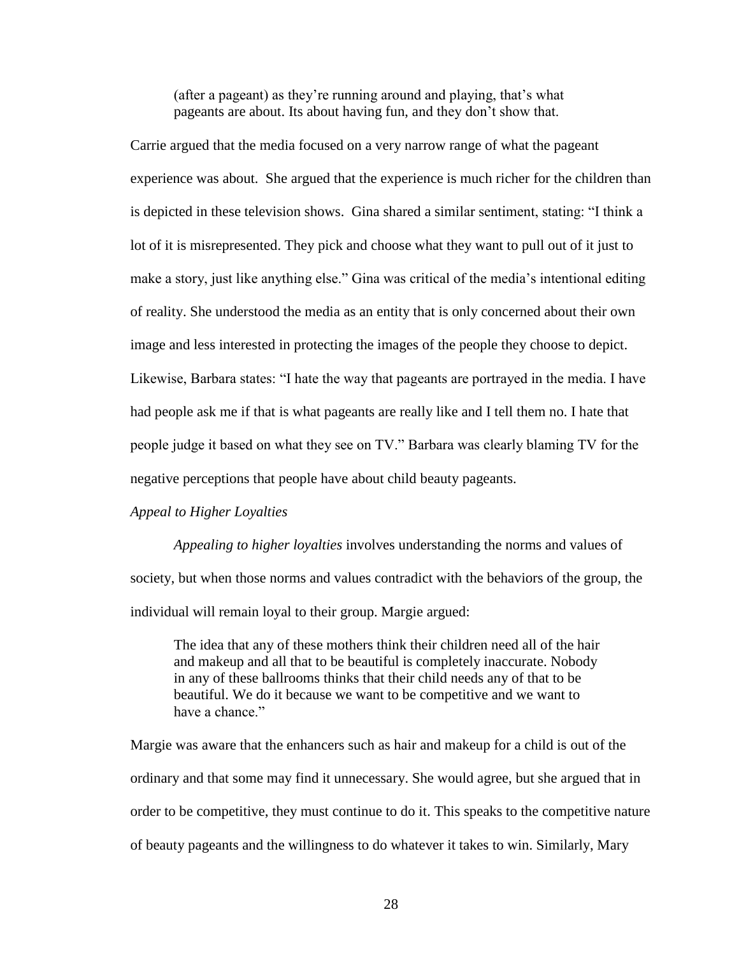(after a pageant) as they're running around and playing, that's what pageants are about. Its about having fun, and they don't show that.

Carrie argued that the media focused on a very narrow range of what the pageant experience was about. She argued that the experience is much richer for the children than is depicted in these television shows. Gina shared a similar sentiment, stating: "I think a lot of it is misrepresented. They pick and choose what they want to pull out of it just to make a story, just like anything else." Gina was critical of the media's intentional editing of reality. She understood the media as an entity that is only concerned about their own image and less interested in protecting the images of the people they choose to depict. Likewise, Barbara states: "I hate the way that pageants are portrayed in the media. I have had people ask me if that is what pageants are really like and I tell them no. I hate that people judge it based on what they see on TV." Barbara was clearly blaming TV for the negative perceptions that people have about child beauty pageants.

#### *Appeal to Higher Loyalties*

*Appealing to higher loyalties* involves understanding the norms and values of society, but when those norms and values contradict with the behaviors of the group, the individual will remain loyal to their group. Margie argued:

The idea that any of these mothers think their children need all of the hair and makeup and all that to be beautiful is completely inaccurate. Nobody in any of these ballrooms thinks that their child needs any of that to be beautiful. We do it because we want to be competitive and we want to have a chance."

Margie was aware that the enhancers such as hair and makeup for a child is out of the ordinary and that some may find it unnecessary. She would agree, but she argued that in order to be competitive, they must continue to do it. This speaks to the competitive nature of beauty pageants and the willingness to do whatever it takes to win. Similarly, Mary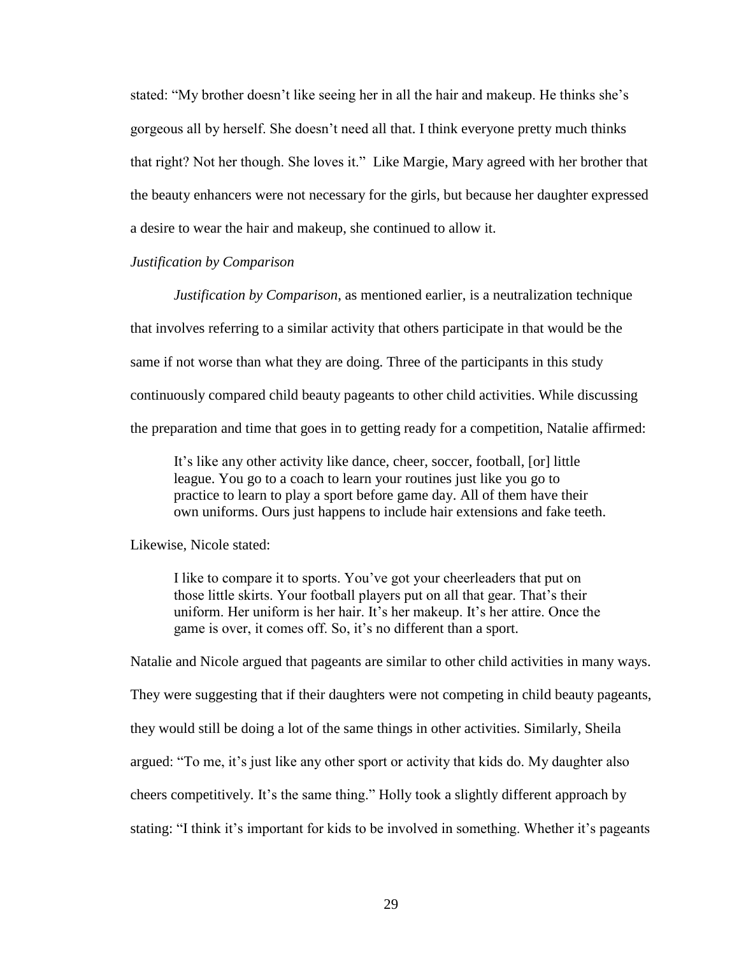stated: "My brother doesn't like seeing her in all the hair and makeup. He thinks she's gorgeous all by herself. She doesn't need all that. I think everyone pretty much thinks that right? Not her though. She loves it." Like Margie, Mary agreed with her brother that the beauty enhancers were not necessary for the girls, but because her daughter expressed a desire to wear the hair and makeup, she continued to allow it.

#### *Justification by Comparison*

*Justification by Comparison*, as mentioned earlier, is a neutralization technique that involves referring to a similar activity that others participate in that would be the same if not worse than what they are doing. Three of the participants in this study continuously compared child beauty pageants to other child activities. While discussing the preparation and time that goes in to getting ready for a competition, Natalie affirmed:

It's like any other activity like dance, cheer, soccer, football, [or] little league. You go to a coach to learn your routines just like you go to practice to learn to play a sport before game day. All of them have their own uniforms. Ours just happens to include hair extensions and fake teeth.

Likewise, Nicole stated:

I like to compare it to sports. You've got your cheerleaders that put on those little skirts. Your football players put on all that gear. That's their uniform. Her uniform is her hair. It's her makeup. It's her attire. Once the game is over, it comes off. So, it's no different than a sport.

Natalie and Nicole argued that pageants are similar to other child activities in many ways.

They were suggesting that if their daughters were not competing in child beauty pageants,

they would still be doing a lot of the same things in other activities. Similarly, Sheila

argued: "To me, it's just like any other sport or activity that kids do. My daughter also

cheers competitively. It's the same thing." Holly took a slightly different approach by

stating: "I think it's important for kids to be involved in something. Whether it's pageants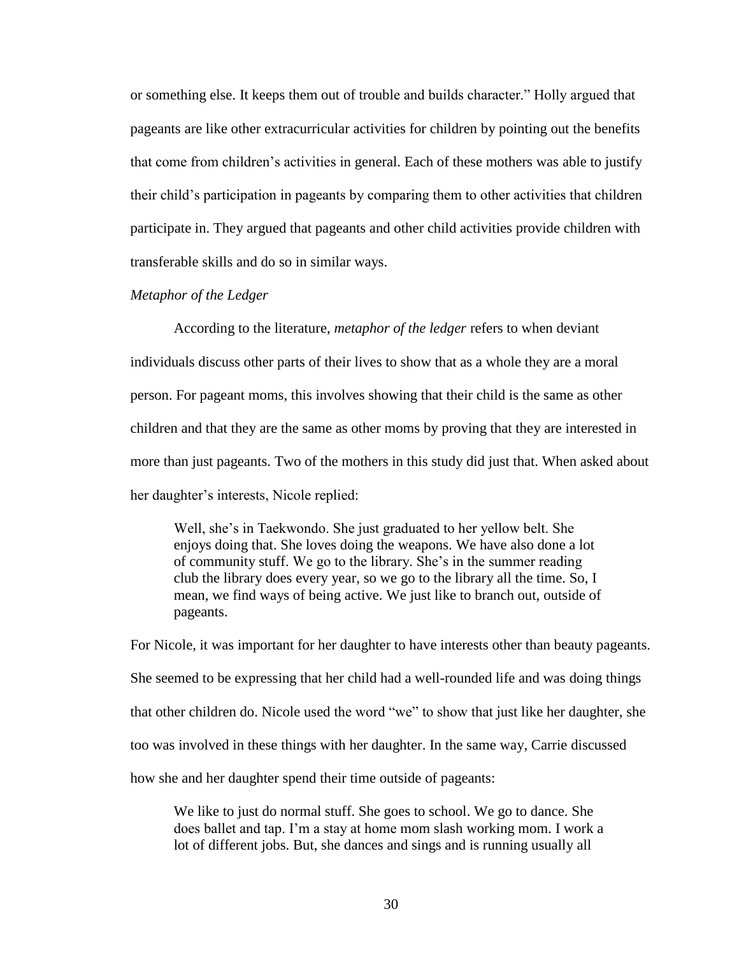or something else. It keeps them out of trouble and builds character." Holly argued that pageants are like other extracurricular activities for children by pointing out the benefits that come from children's activities in general. Each of these mothers was able to justify their child's participation in pageants by comparing them to other activities that children participate in. They argued that pageants and other child activities provide children with transferable skills and do so in similar ways.

#### *Metaphor of the Ledger*

According to the literature, *metaphor of the ledger* refers to when deviant individuals discuss other parts of their lives to show that as a whole they are a moral person. For pageant moms, this involves showing that their child is the same as other children and that they are the same as other moms by proving that they are interested in more than just pageants. Two of the mothers in this study did just that. When asked about her daughter's interests, Nicole replied:

Well, she's in Taekwondo. She just graduated to her yellow belt. She enjoys doing that. She loves doing the weapons. We have also done a lot of community stuff. We go to the library. She's in the summer reading club the library does every year, so we go to the library all the time. So, I mean, we find ways of being active. We just like to branch out, outside of pageants.

For Nicole, it was important for her daughter to have interests other than beauty pageants. She seemed to be expressing that her child had a well-rounded life and was doing things that other children do. Nicole used the word "we" to show that just like her daughter, she too was involved in these things with her daughter. In the same way, Carrie discussed how she and her daughter spend their time outside of pageants:

We like to just do normal stuff. She goes to school. We go to dance. She does ballet and tap. I'm a stay at home mom slash working mom. I work a lot of different jobs. But, she dances and sings and is running usually all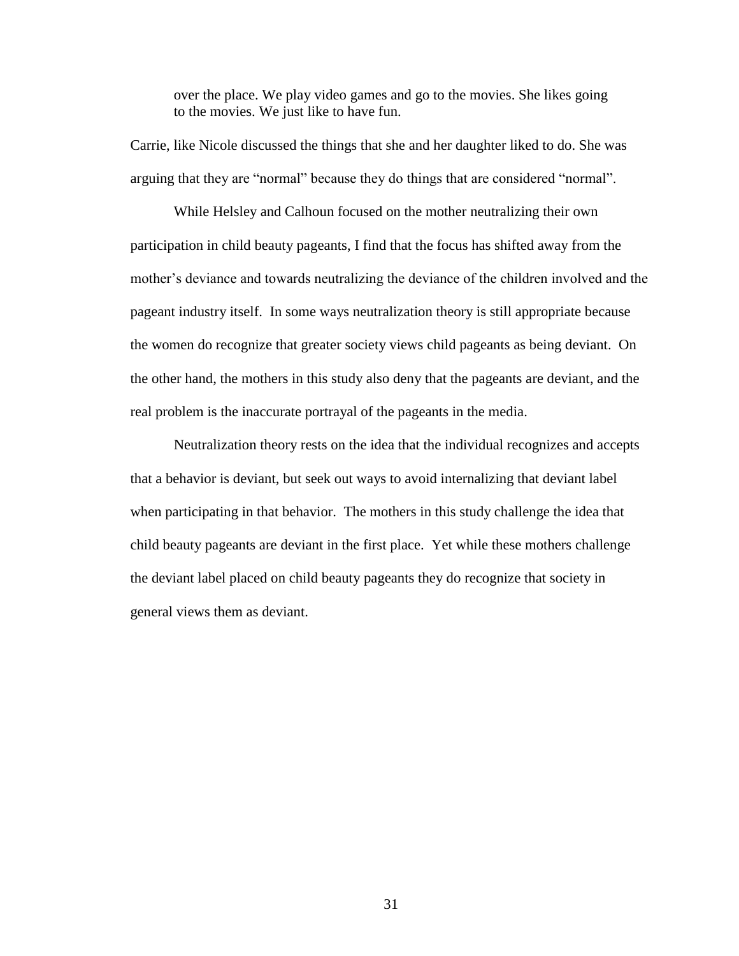over the place. We play video games and go to the movies. She likes going to the movies. We just like to have fun.

Carrie, like Nicole discussed the things that she and her daughter liked to do. She was arguing that they are "normal" because they do things that are considered "normal".

While Helsley and Calhoun focused on the mother neutralizing their own participation in child beauty pageants, I find that the focus has shifted away from the mother's deviance and towards neutralizing the deviance of the children involved and the pageant industry itself. In some ways neutralization theory is still appropriate because the women do recognize that greater society views child pageants as being deviant. On the other hand, the mothers in this study also deny that the pageants are deviant, and the real problem is the inaccurate portrayal of the pageants in the media.

Neutralization theory rests on the idea that the individual recognizes and accepts that a behavior is deviant, but seek out ways to avoid internalizing that deviant label when participating in that behavior. The mothers in this study challenge the idea that child beauty pageants are deviant in the first place. Yet while these mothers challenge the deviant label placed on child beauty pageants they do recognize that society in general views them as deviant.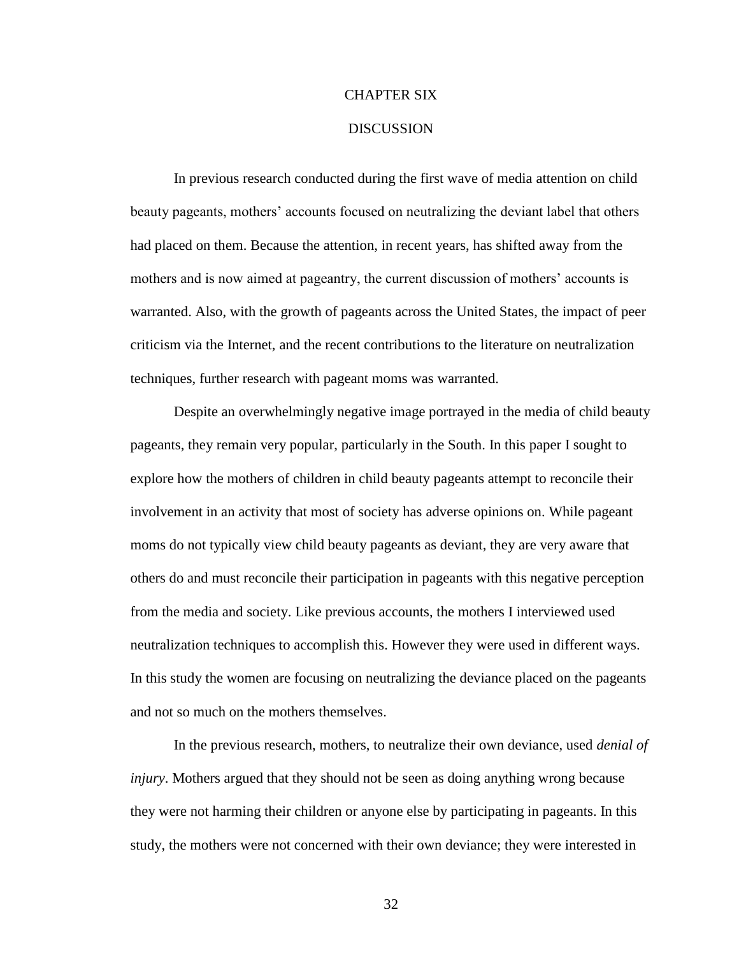#### CHAPTER SIX

#### **DISCUSSION**

In previous research conducted during the first wave of media attention on child beauty pageants, mothers' accounts focused on neutralizing the deviant label that others had placed on them. Because the attention, in recent years, has shifted away from the mothers and is now aimed at pageantry, the current discussion of mothers' accounts is warranted. Also, with the growth of pageants across the United States, the impact of peer criticism via the Internet, and the recent contributions to the literature on neutralization techniques, further research with pageant moms was warranted.

Despite an overwhelmingly negative image portrayed in the media of child beauty pageants, they remain very popular, particularly in the South. In this paper I sought to explore how the mothers of children in child beauty pageants attempt to reconcile their involvement in an activity that most of society has adverse opinions on. While pageant moms do not typically view child beauty pageants as deviant, they are very aware that others do and must reconcile their participation in pageants with this negative perception from the media and society. Like previous accounts, the mothers I interviewed used neutralization techniques to accomplish this. However they were used in different ways. In this study the women are focusing on neutralizing the deviance placed on the pageants and not so much on the mothers themselves.

In the previous research, mothers, to neutralize their own deviance, used *denial of injury*. Mothers argued that they should not be seen as doing anything wrong because they were not harming their children or anyone else by participating in pageants. In this study, the mothers were not concerned with their own deviance; they were interested in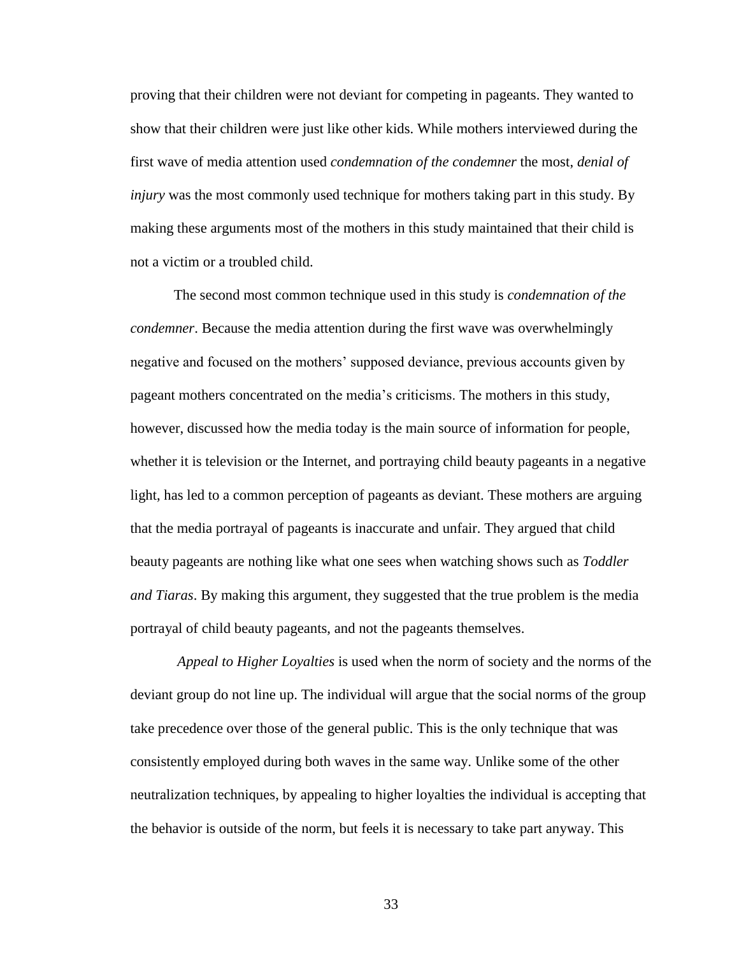proving that their children were not deviant for competing in pageants. They wanted to show that their children were just like other kids. While mothers interviewed during the first wave of media attention used *condemnation of the condemner* the most, *denial of injury* was the most commonly used technique for mothers taking part in this study. By making these arguments most of the mothers in this study maintained that their child is not a victim or a troubled child.

The second most common technique used in this study is *condemnation of the condemner*. Because the media attention during the first wave was overwhelmingly negative and focused on the mothers' supposed deviance, previous accounts given by pageant mothers concentrated on the media's criticisms. The mothers in this study, however, discussed how the media today is the main source of information for people, whether it is television or the Internet, and portraying child beauty pageants in a negative light, has led to a common perception of pageants as deviant. These mothers are arguing that the media portrayal of pageants is inaccurate and unfair. They argued that child beauty pageants are nothing like what one sees when watching shows such as *Toddler and Tiaras*. By making this argument, they suggested that the true problem is the media portrayal of child beauty pageants, and not the pageants themselves.

*Appeal to Higher Loyalties* is used when the norm of society and the norms of the deviant group do not line up. The individual will argue that the social norms of the group take precedence over those of the general public. This is the only technique that was consistently employed during both waves in the same way. Unlike some of the other neutralization techniques, by appealing to higher loyalties the individual is accepting that the behavior is outside of the norm, but feels it is necessary to take part anyway. This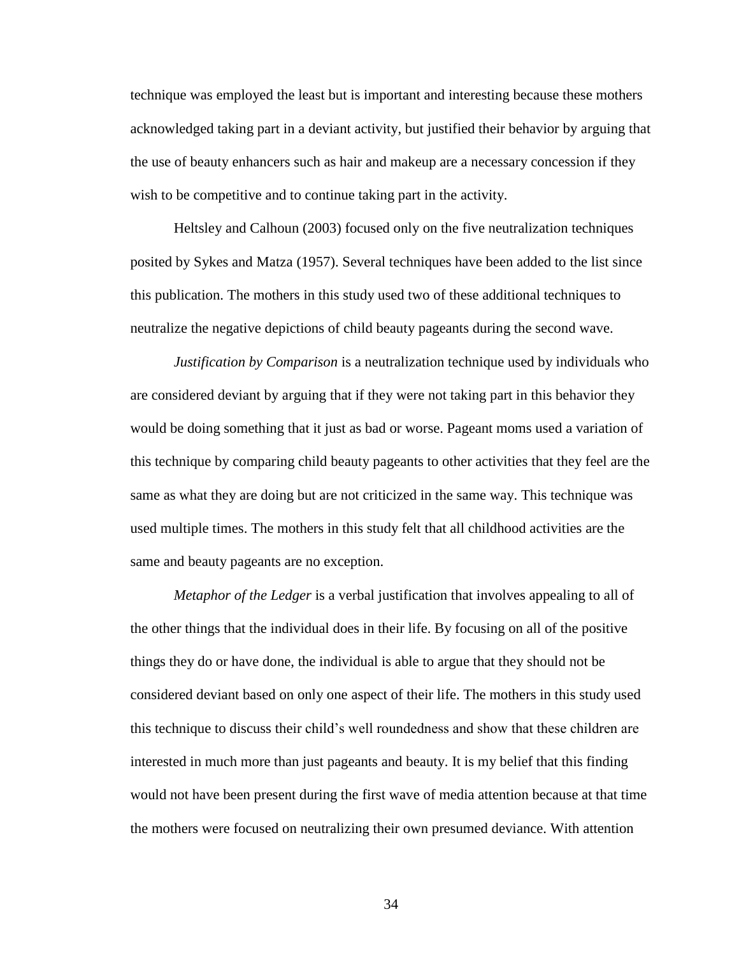technique was employed the least but is important and interesting because these mothers acknowledged taking part in a deviant activity, but justified their behavior by arguing that the use of beauty enhancers such as hair and makeup are a necessary concession if they wish to be competitive and to continue taking part in the activity.

Heltsley and Calhoun (2003) focused only on the five neutralization techniques posited by Sykes and Matza (1957). Several techniques have been added to the list since this publication. The mothers in this study used two of these additional techniques to neutralize the negative depictions of child beauty pageants during the second wave.

*Justification by Comparison* is a neutralization technique used by individuals who are considered deviant by arguing that if they were not taking part in this behavior they would be doing something that it just as bad or worse. Pageant moms used a variation of this technique by comparing child beauty pageants to other activities that they feel are the same as what they are doing but are not criticized in the same way. This technique was used multiple times. The mothers in this study felt that all childhood activities are the same and beauty pageants are no exception.

*Metaphor of the Ledger* is a verbal justification that involves appealing to all of the other things that the individual does in their life. By focusing on all of the positive things they do or have done, the individual is able to argue that they should not be considered deviant based on only one aspect of their life. The mothers in this study used this technique to discuss their child's well roundedness and show that these children are interested in much more than just pageants and beauty. It is my belief that this finding would not have been present during the first wave of media attention because at that time the mothers were focused on neutralizing their own presumed deviance. With attention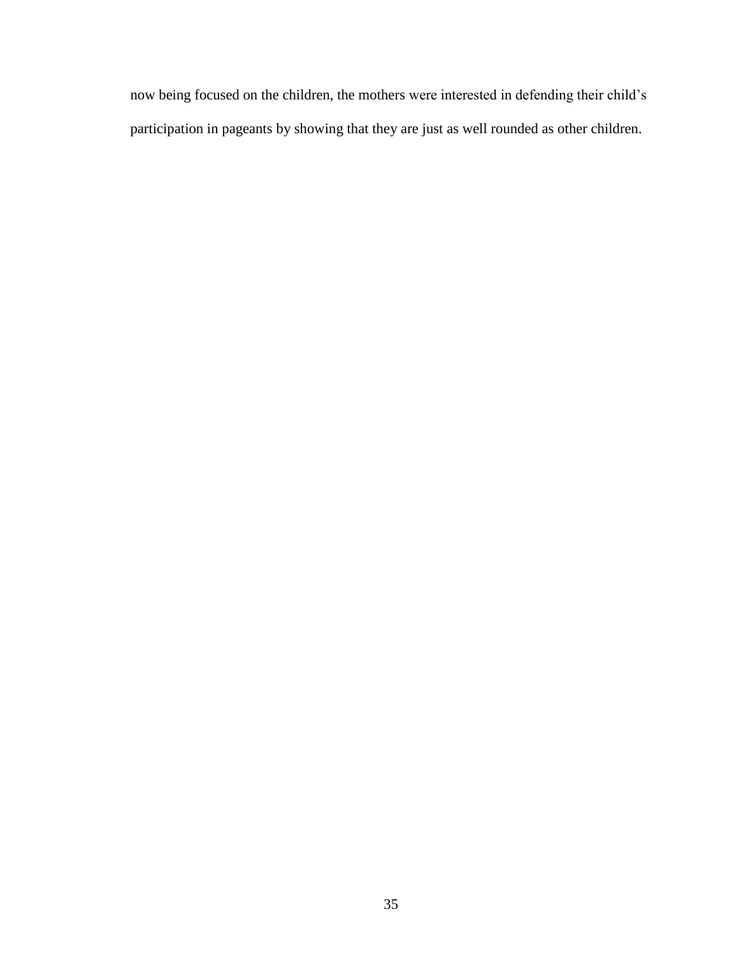now being focused on the children, the mothers were interested in defending their child's participation in pageants by showing that they are just as well rounded as other children.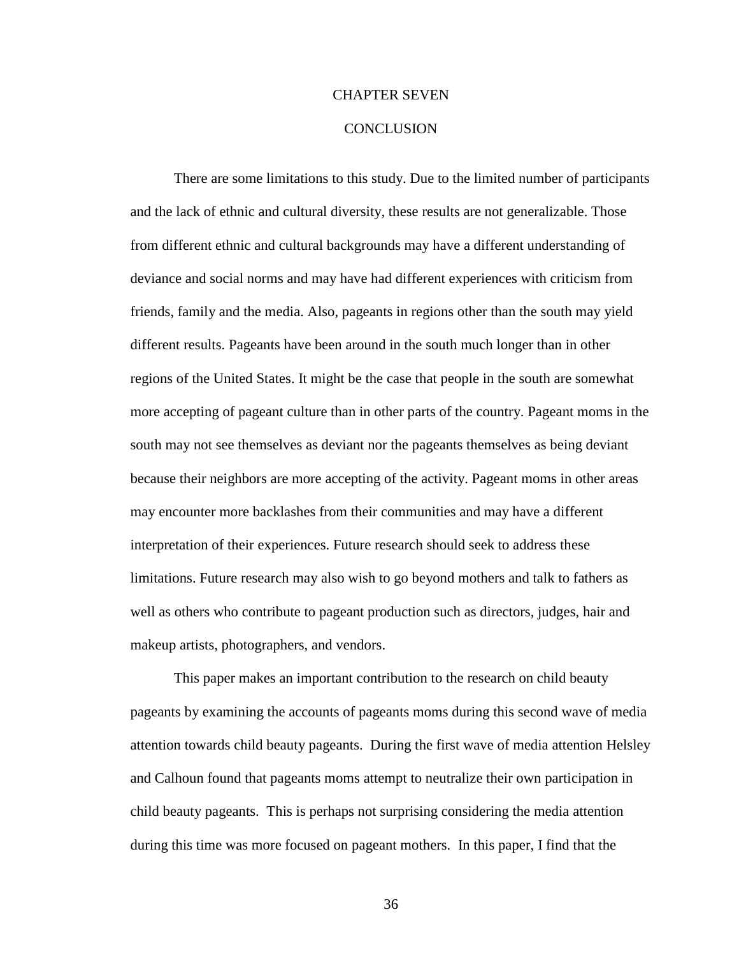#### CHAPTER SEVEN

#### **CONCLUSION**

There are some limitations to this study. Due to the limited number of participants and the lack of ethnic and cultural diversity, these results are not generalizable. Those from different ethnic and cultural backgrounds may have a different understanding of deviance and social norms and may have had different experiences with criticism from friends, family and the media. Also, pageants in regions other than the south may yield different results. Pageants have been around in the south much longer than in other regions of the United States. It might be the case that people in the south are somewhat more accepting of pageant culture than in other parts of the country. Pageant moms in the south may not see themselves as deviant nor the pageants themselves as being deviant because their neighbors are more accepting of the activity. Pageant moms in other areas may encounter more backlashes from their communities and may have a different interpretation of their experiences. Future research should seek to address these limitations. Future research may also wish to go beyond mothers and talk to fathers as well as others who contribute to pageant production such as directors, judges, hair and makeup artists, photographers, and vendors.

This paper makes an important contribution to the research on child beauty pageants by examining the accounts of pageants moms during this second wave of media attention towards child beauty pageants. During the first wave of media attention Helsley and Calhoun found that pageants moms attempt to neutralize their own participation in child beauty pageants. This is perhaps not surprising considering the media attention during this time was more focused on pageant mothers. In this paper, I find that the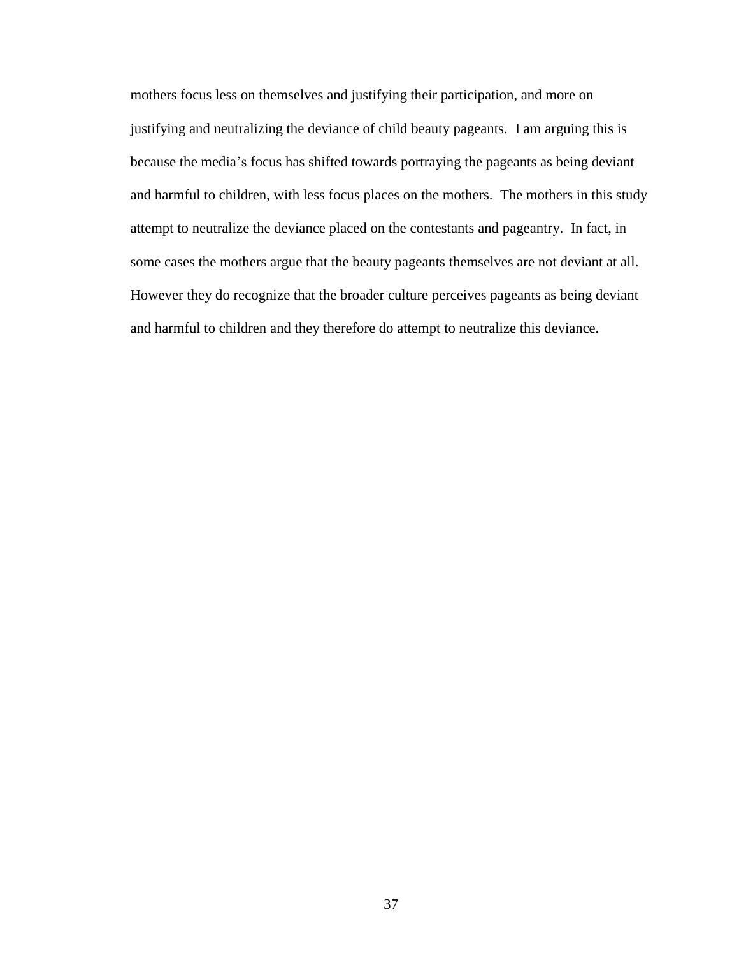mothers focus less on themselves and justifying their participation, and more on justifying and neutralizing the deviance of child beauty pageants. I am arguing this is because the media's focus has shifted towards portraying the pageants as being deviant and harmful to children, with less focus places on the mothers. The mothers in this study attempt to neutralize the deviance placed on the contestants and pageantry. In fact, in some cases the mothers argue that the beauty pageants themselves are not deviant at all. However they do recognize that the broader culture perceives pageants as being deviant and harmful to children and they therefore do attempt to neutralize this deviance.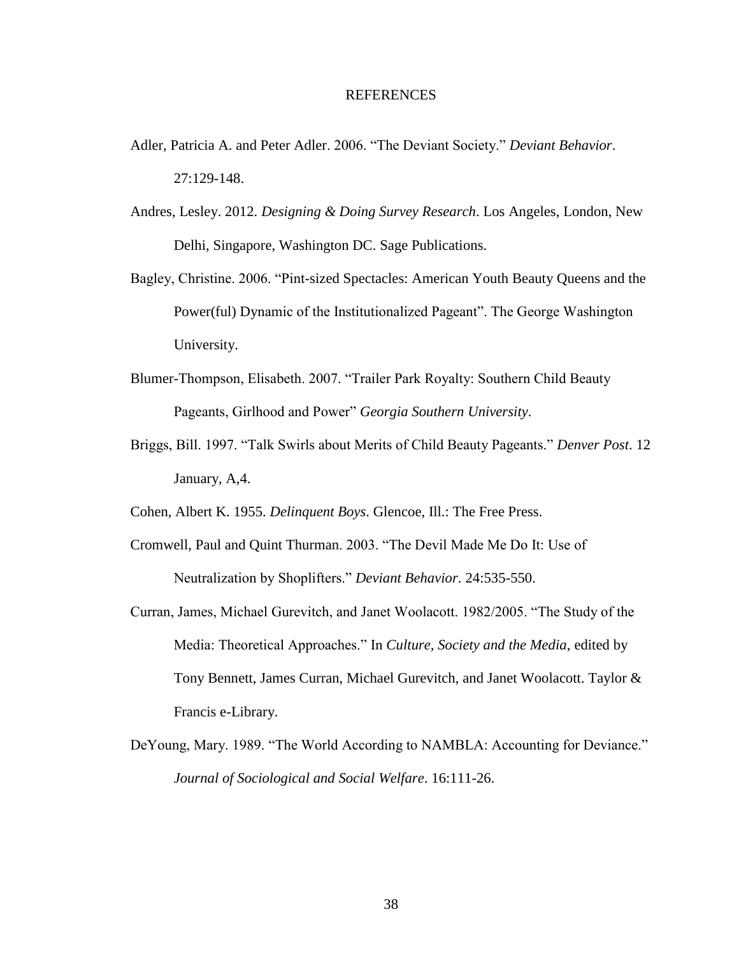#### REFERENCES

- Adler, Patricia A. and Peter Adler. 2006. "The Deviant Society." *Deviant Behavior*. 27:129-148.
- Andres, Lesley. 2012. *Designing & Doing Survey Research*. Los Angeles, London, New Delhi, Singapore, Washington DC. Sage Publications.
- Bagley, Christine. 2006. "Pint-sized Spectacles: American Youth Beauty Queens and the Power(ful) Dynamic of the Institutionalized Pageant". The George Washington University.
- Blumer-Thompson, Elisabeth. 2007. "Trailer Park Royalty: Southern Child Beauty Pageants, Girlhood and Power" *Georgia Southern University*.
- Briggs, Bill. 1997. "Talk Swirls about Merits of Child Beauty Pageants." *Denver Post*. 12 January, A,4.
- Cohen, Albert K. 1955. *Delinquent Boys*. Glencoe, Ill.: The Free Press.
- Cromwell, Paul and Quint Thurman. 2003. "The Devil Made Me Do It: Use of Neutralization by Shoplifters." *Deviant Behavior*. 24:535-550.
- Curran, James, Michael Gurevitch, and Janet Woolacott. 1982/2005. "The Study of the Media: Theoretical Approaches." In *Culture, Society and the Media*, edited by Tony Bennett, James Curran, Michael Gurevitch, and Janet Woolacott. Taylor & Francis e-Library.
- DeYoung, Mary. 1989. "The World According to NAMBLA: Accounting for Deviance." *Journal of Sociological and Social Welfare*. 16:111-26.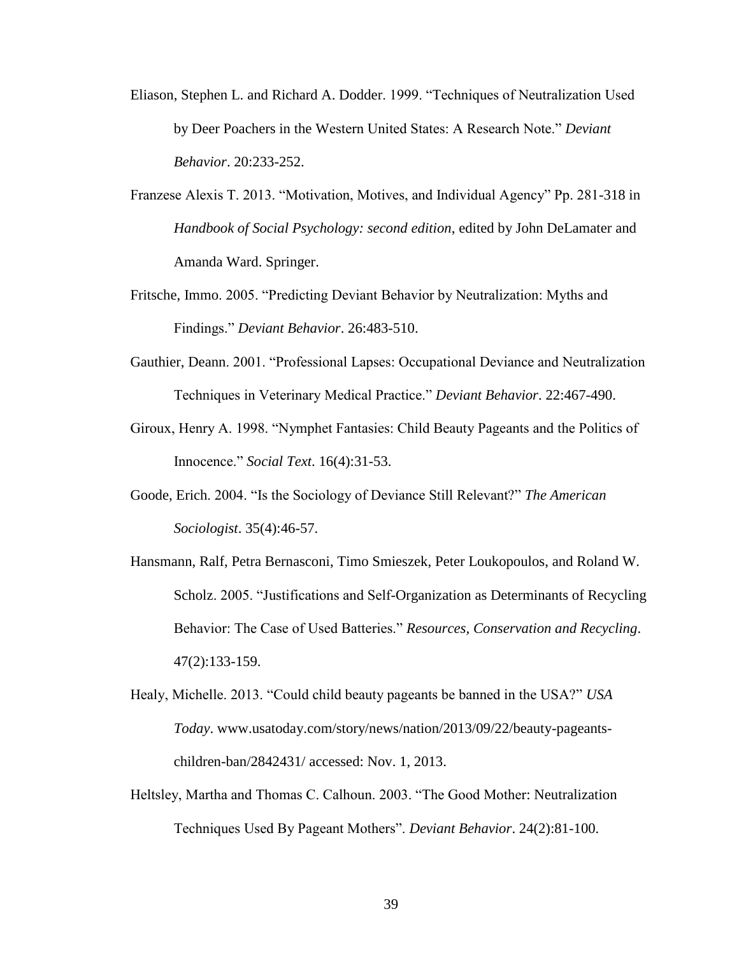- Eliason, Stephen L. and Richard A. Dodder. 1999. "Techniques of Neutralization Used by Deer Poachers in the Western United States: A Research Note." *Deviant Behavior*. 20:233-252.
- Franzese Alexis T. 2013. "Motivation, Motives, and Individual Agency" Pp. 281-318 in *Handbook of Social Psychology: second edition*, edited by John DeLamater and Amanda Ward. Springer.
- Fritsche, Immo. 2005. "Predicting Deviant Behavior by Neutralization: Myths and Findings." *Deviant Behavior*. 26:483-510.
- Gauthier, Deann. 2001. "Professional Lapses: Occupational Deviance and Neutralization Techniques in Veterinary Medical Practice." *Deviant Behavior*. 22:467-490.
- Giroux, Henry A. 1998. "Nymphet Fantasies: Child Beauty Pageants and the Politics of Innocence." *Social Text*. 16(4):31-53.
- Goode, Erich. 2004. "Is the Sociology of Deviance Still Relevant?" *The American Sociologist*. 35(4):46-57.
- Hansmann, Ralf, Petra Bernasconi, Timo Smieszek, Peter Loukopoulos, and Roland W. Scholz. 2005. "Justifications and Self-Organization as Determinants of Recycling Behavior: The Case of Used Batteries." *Resources, Conservation and Recycling*. 47(2):133-159.
- Healy, Michelle. 2013. "Could child beauty pageants be banned in the USA?" *USA Today*. www.usatoday.com/story/news/nation/2013/09/22/beauty-pageantschildren-ban/2842431/ accessed: Nov. 1, 2013.
- Heltsley, Martha and Thomas C. Calhoun. 2003. "The Good Mother: Neutralization Techniques Used By Pageant Mothers". *Deviant Behavior*. 24(2):81-100.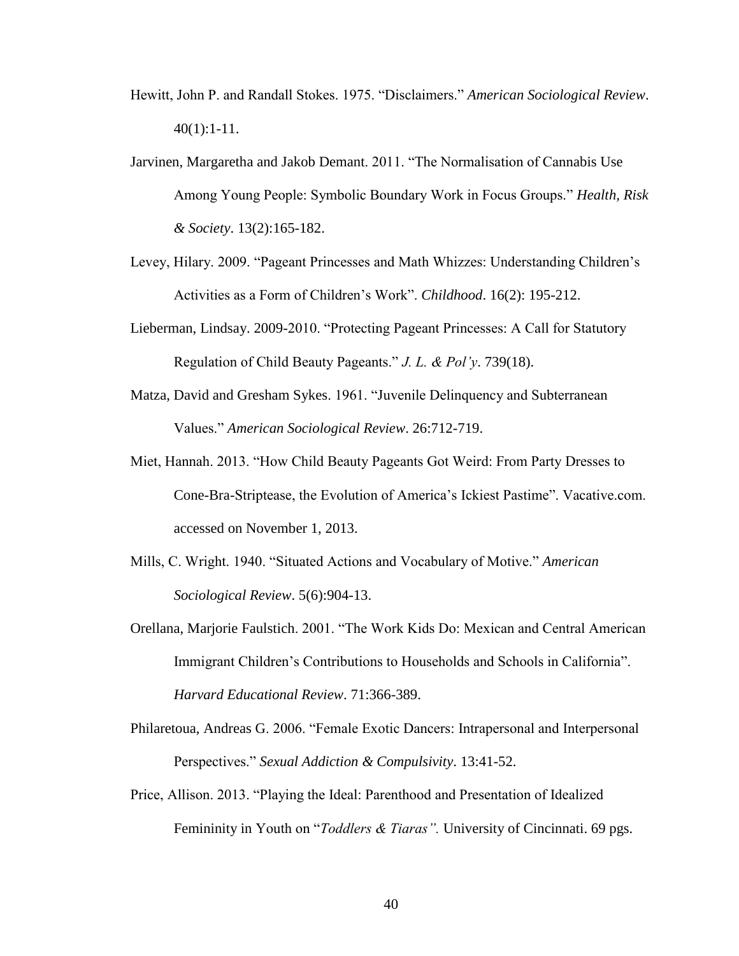- Hewitt, John P. and Randall Stokes. 1975. "Disclaimers." *American Sociological Review*. 40(1):1-11.
- Jarvinen, Margaretha and Jakob Demant. 2011. "The Normalisation of Cannabis Use Among Young People: Symbolic Boundary Work in Focus Groups." *Health, Risk & Society*. 13(2):165-182.
- Levey, Hilary. 2009. "Pageant Princesses and Math Whizzes: Understanding Children's Activities as a Form of Children's Work". *Childhood*. 16(2): 195-212.
- Lieberman, Lindsay. 2009-2010. "Protecting Pageant Princesses: A Call for Statutory Regulation of Child Beauty Pageants." *J. L. & Pol'y*. 739(18).
- Matza, David and Gresham Sykes. 1961. "Juvenile Delinquency and Subterranean Values." *American Sociological Review*. 26:712-719.
- Miet, Hannah. 2013. "How Child Beauty Pageants Got Weird: From Party Dresses to Cone-Bra-Striptease, the Evolution of America's Ickiest Pastime". Vacative.com. accessed on November 1, 2013.
- Mills, C. Wright. 1940. "Situated Actions and Vocabulary of Motive." *American Sociological Review*. 5(6):904-13.
- Orellana, Marjorie Faulstich. 2001. "The Work Kids Do: Mexican and Central American Immigrant Children's Contributions to Households and Schools in California". *Harvard Educational Review*. 71:366-389.
- Philaretoua, Andreas G. 2006. "Female Exotic Dancers: Intrapersonal and Interpersonal Perspectives." *Sexual Addiction & Compulsivity*. 13:41-52.
- Price, Allison. 2013. "Playing the Ideal: Parenthood and Presentation of Idealized Femininity in Youth on "*Toddlers & Tiaras".* University of Cincinnati. 69 pgs.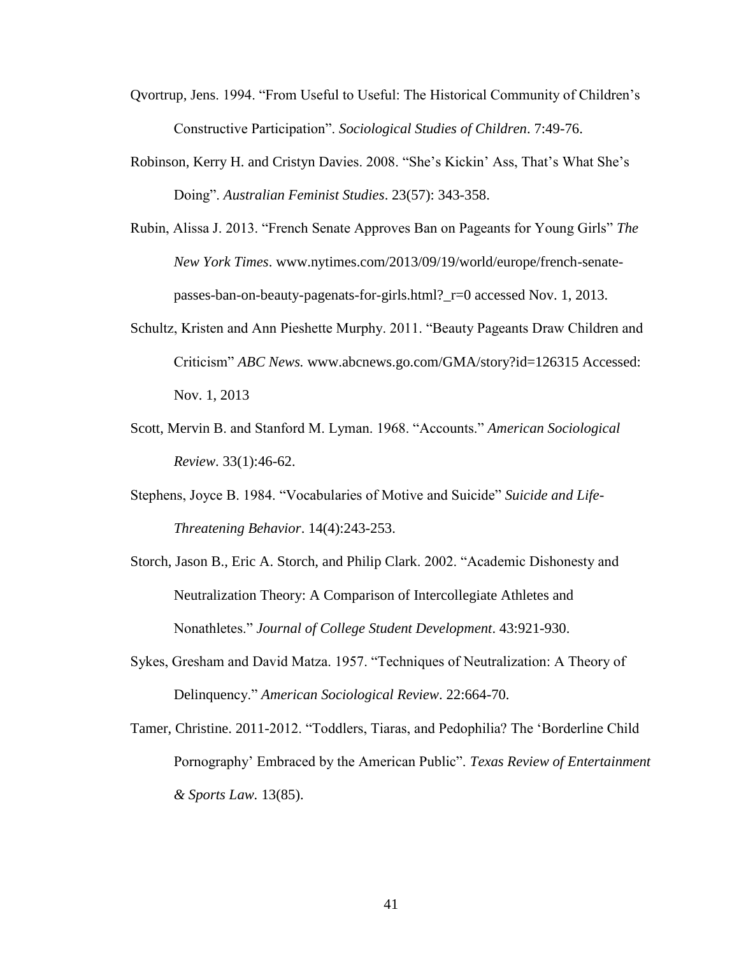- Qvortrup, Jens. 1994. "From Useful to Useful: The Historical Community of Children's Constructive Participation". *Sociological Studies of Children*. 7:49-76.
- Robinson, Kerry H. and Cristyn Davies. 2008. "She's Kickin' Ass, That's What She's Doing". *Australian Feminist Studies*. 23(57): 343-358.
- Rubin, Alissa J. 2013. "French Senate Approves Ban on Pageants for Young Girls" *The New York Times*. www.nytimes.com/2013/09/19/world/europe/french-senatepasses-ban-on-beauty-pagenats-for-girls.html?\_r=0 accessed Nov. 1, 2013.
- Schultz, Kristen and Ann Pieshette Murphy. 2011. "Beauty Pageants Draw Children and Criticism" *ABC News.* www.abcnews.go.com/GMA/story?id=126315 Accessed: Nov. 1, 2013
- Scott, Mervin B. and Stanford M. Lyman. 1968. "Accounts." *American Sociological Review*. 33(1):46-62.
- Stephens, Joyce B. 1984. "Vocabularies of Motive and Suicide" *Suicide and Life-Threatening Behavior*. 14(4):243-253.
- Storch, Jason B., Eric A. Storch, and Philip Clark. 2002. "Academic Dishonesty and Neutralization Theory: A Comparison of Intercollegiate Athletes and Nonathletes." *Journal of College Student Development*. 43:921-930.
- Sykes, Gresham and David Matza. 1957. "Techniques of Neutralization: A Theory of Delinquency." *American Sociological Review*. 22:664-70.
- Tamer, Christine. 2011-2012. "Toddlers, Tiaras, and Pedophilia? The 'Borderline Child Pornography' Embraced by the American Public". *Texas Review of Entertainment & Sports Law.* 13(85).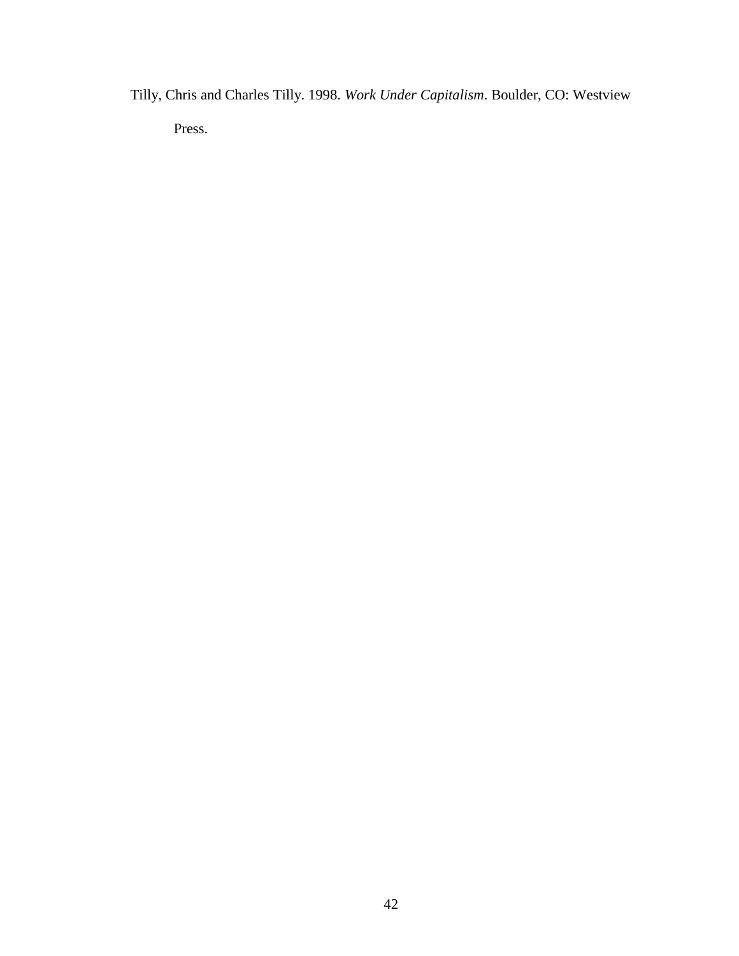Tilly, Chris and Charles Tilly. 1998. *Work Under Capitalism*. Boulder, CO: Westview Press.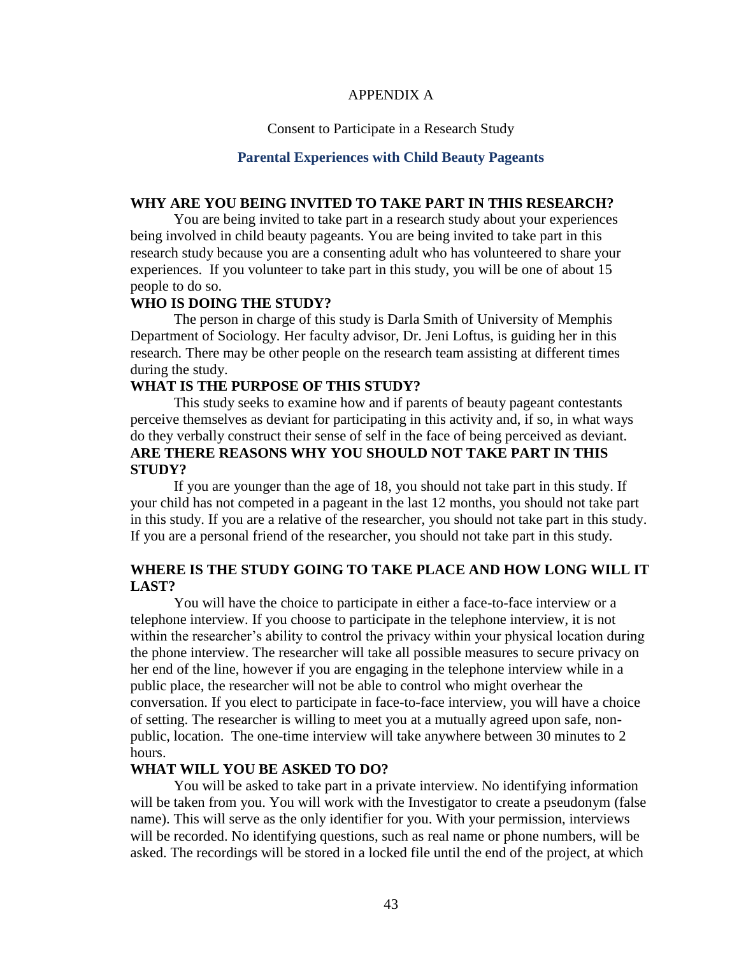# APPENDIX A

#### Consent to Participate in a Research Study

#### **Parental Experiences with Child Beauty Pageants**

# **WHY ARE YOU BEING INVITED TO TAKE PART IN THIS RESEARCH?**

You are being invited to take part in a research study about your experiences being involved in child beauty pageants. You are being invited to take part in this research study because you are a consenting adult who has volunteered to share your experiences. If you volunteer to take part in this study, you will be one of about 15 people to do so.

## **WHO IS DOING THE STUDY?**

The person in charge of this study is Darla Smith of University of Memphis Department of Sociology*.* Her faculty advisor, Dr. Jeni Loftus, is guiding her in this research*.* There may be other people on the research team assisting at different times during the study.

# **WHAT IS THE PURPOSE OF THIS STUDY?**

This study seeks to examine how and if parents of beauty pageant contestants perceive themselves as deviant for participating in this activity and, if so, in what ways do they verbally construct their sense of self in the face of being perceived as deviant. **ARE THERE REASONS WHY YOU SHOULD NOT TAKE PART IN THIS STUDY?**

If you are younger than the age of 18, you should not take part in this study. If your child has not competed in a pageant in the last 12 months, you should not take part in this study. If you are a relative of the researcher, you should not take part in this study. If you are a personal friend of the researcher, you should not take part in this study.

# **WHERE IS THE STUDY GOING TO TAKE PLACE AND HOW LONG WILL IT LAST?**

You will have the choice to participate in either a face-to-face interview or a telephone interview. If you choose to participate in the telephone interview, it is not within the researcher's ability to control the privacy within your physical location during the phone interview. The researcher will take all possible measures to secure privacy on her end of the line, however if you are engaging in the telephone interview while in a public place, the researcher will not be able to control who might overhear the conversation. If you elect to participate in face-to-face interview, you will have a choice of setting. The researcher is willing to meet you at a mutually agreed upon safe, nonpublic, location. The one-time interview will take anywhere between 30 minutes to 2 hours.

#### **WHAT WILL YOU BE ASKED TO DO?**

You will be asked to take part in a private interview. No identifying information will be taken from you. You will work with the Investigator to create a pseudonym (false name). This will serve as the only identifier for you. With your permission, interviews will be recorded. No identifying questions, such as real name or phone numbers, will be asked. The recordings will be stored in a locked file until the end of the project, at which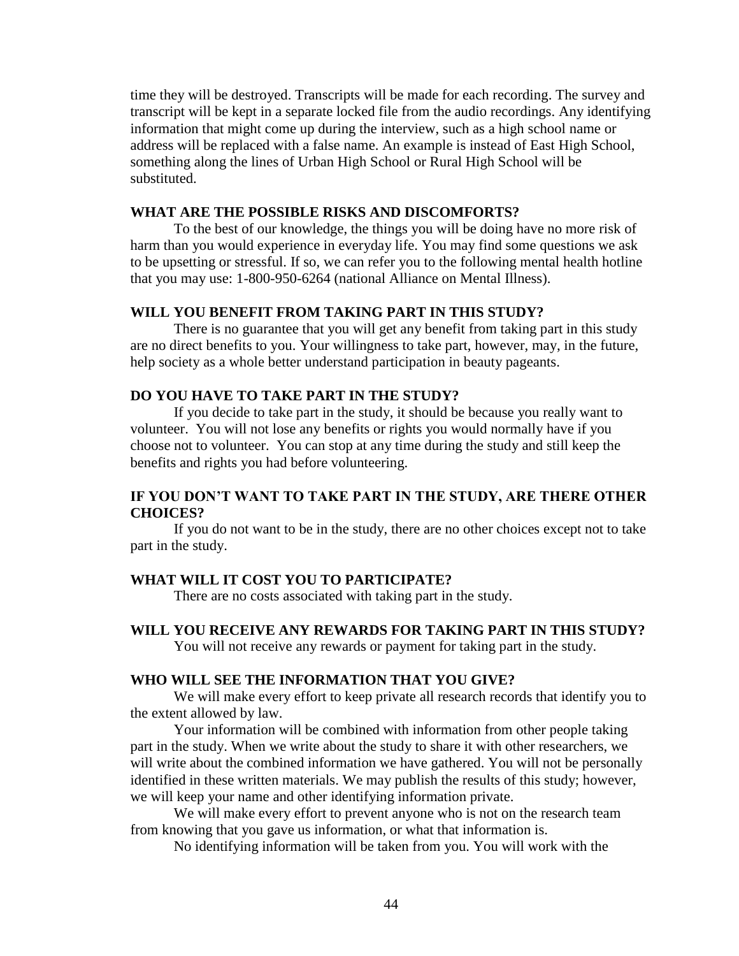time they will be destroyed. Transcripts will be made for each recording. The survey and transcript will be kept in a separate locked file from the audio recordings. Any identifying information that might come up during the interview, such as a high school name or address will be replaced with a false name. An example is instead of East High School, something along the lines of Urban High School or Rural High School will be substituted.

### **WHAT ARE THE POSSIBLE RISKS AND DISCOMFORTS?**

To the best of our knowledge, the things you will be doing have no more risk of harm than you would experience in everyday life. You may find some questions we ask to be upsetting or stressful. If so, we can refer you to the following mental health hotline that you may use: 1-800-950-6264 (national Alliance on Mental Illness).

# **WILL YOU BENEFIT FROM TAKING PART IN THIS STUDY?**

There is no guarantee that you will get any benefit from taking part in this study are no direct benefits to you. Your willingness to take part, however, may, in the future, help society as a whole better understand participation in beauty pageants.

#### **DO YOU HAVE TO TAKE PART IN THE STUDY?**

If you decide to take part in the study, it should be because you really want to volunteer. You will not lose any benefits or rights you would normally have if you choose not to volunteer. You can stop at any time during the study and still keep the benefits and rights you had before volunteering.

# **IF YOU DON'T WANT TO TAKE PART IN THE STUDY, ARE THERE OTHER CHOICES?**

If you do not want to be in the study, there are no other choices except not to take part in the study.

# **WHAT WILL IT COST YOU TO PARTICIPATE?**

There are no costs associated with taking part in the study.

# **WILL YOU RECEIVE ANY REWARDS FOR TAKING PART IN THIS STUDY?**

You will not receive any rewards or payment for taking part in the study.

# **WHO WILL SEE THE INFORMATION THAT YOU GIVE?**

We will make every effort to keep private all research records that identify you to the extent allowed by law.

Your information will be combined with information from other people taking part in the study. When we write about the study to share it with other researchers, we will write about the combined information we have gathered. You will not be personally identified in these written materials. We may publish the results of this study; however, we will keep your name and other identifying information private.

We will make every effort to prevent anyone who is not on the research team from knowing that you gave us information, or what that information is.

No identifying information will be taken from you. You will work with the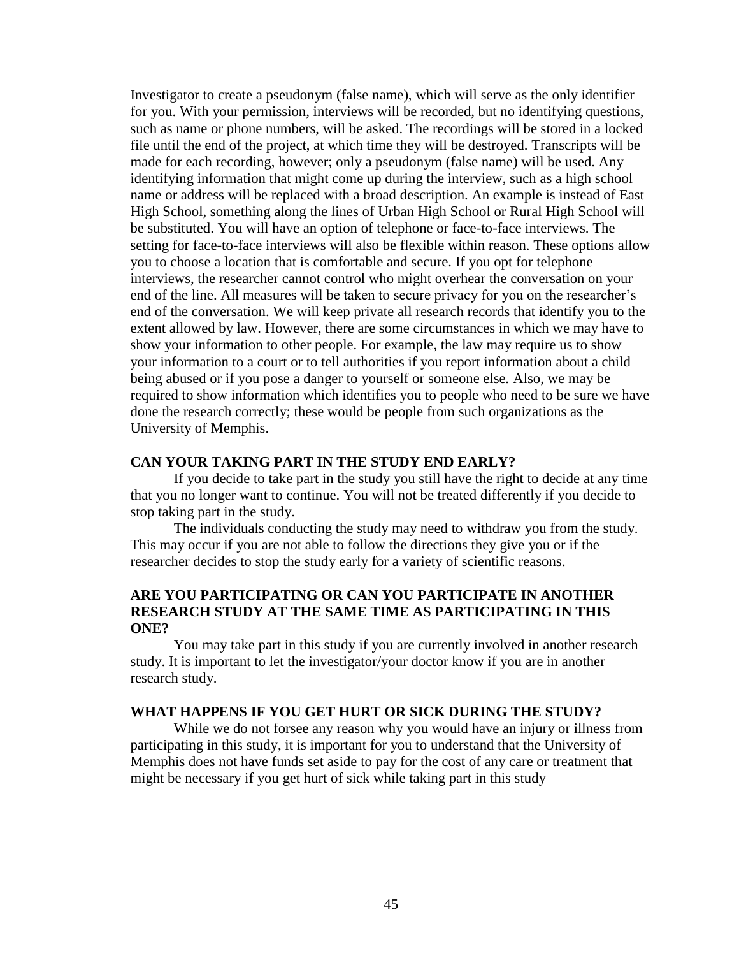Investigator to create a pseudonym (false name), which will serve as the only identifier for you. With your permission, interviews will be recorded, but no identifying questions, such as name or phone numbers, will be asked. The recordings will be stored in a locked file until the end of the project, at which time they will be destroyed. Transcripts will be made for each recording, however; only a pseudonym (false name) will be used. Any identifying information that might come up during the interview, such as a high school name or address will be replaced with a broad description. An example is instead of East High School, something along the lines of Urban High School or Rural High School will be substituted. You will have an option of telephone or face-to-face interviews. The setting for face-to-face interviews will also be flexible within reason. These options allow you to choose a location that is comfortable and secure. If you opt for telephone interviews, the researcher cannot control who might overhear the conversation on your end of the line. All measures will be taken to secure privacy for you on the researcher's end of the conversation. We will keep private all research records that identify you to the extent allowed by law. However, there are some circumstances in which we may have to show your information to other people. For example, the law may require us to show your information to a court or to tell authorities if you report information about a child being abused or if you pose a danger to yourself or someone else*.* Also, we may be required to show information which identifies you to people who need to be sure we have done the research correctly; these would be people from such organizations as the University of Memphis.

#### **CAN YOUR TAKING PART IN THE STUDY END EARLY?**

If you decide to take part in the study you still have the right to decide at any time that you no longer want to continue. You will not be treated differently if you decide to stop taking part in the study.

The individuals conducting the study may need to withdraw you from the study. This may occur if you are not able to follow the directions they give you or if the researcher decides to stop the study early for a variety of scientific reasons.

# **ARE YOU PARTICIPATING OR CAN YOU PARTICIPATE IN ANOTHER RESEARCH STUDY AT THE SAME TIME AS PARTICIPATING IN THIS ONE?**

You may take part in this study if you are currently involved in another research study. It is important to let the investigator/your doctor know if you are in another research study.

#### **WHAT HAPPENS IF YOU GET HURT OR SICK DURING THE STUDY?**

While we do not forsee any reason why you would have an injury or illness from participating in this study, it is important for you to understand that the University of Memphis does not have funds set aside to pay for the cost of any care or treatment that might be necessary if you get hurt of sick while taking part in this study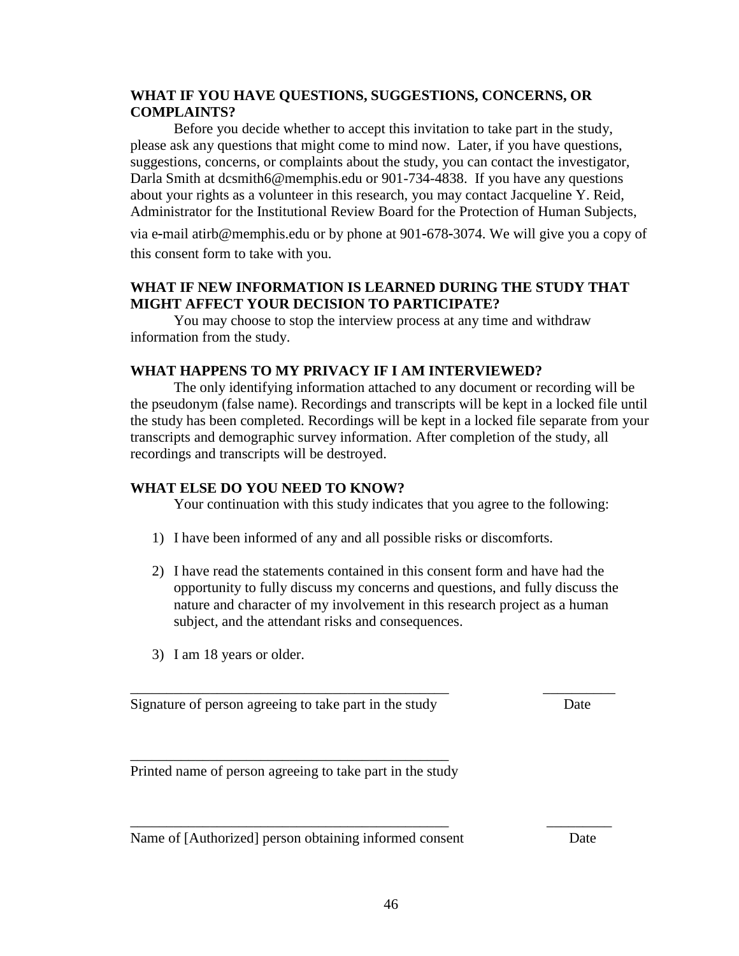# **WHAT IF YOU HAVE QUESTIONS, SUGGESTIONS, CONCERNS, OR COMPLAINTS?**

Before you decide whether to accept this invitation to take part in the study, please ask any questions that might come to mind now. Later, if you have questions, suggestions, concerns, or complaints about the study, you can contact the investigator, Darla Smith at dcsmith6@memphis.edu or 901-734-4838. If you have any questions about your rights as a volunteer in this research, you may contact Jacqueline Y. Reid, Administrator for the Institutional Review Board for the Protection of Human Subjects,

via e-mail atirb@memphis.edu or by phone at 901-678-3074. We will give you a copy of this consent form to take with you.

# **WHAT IF NEW INFORMATION IS LEARNED DURING THE STUDY THAT MIGHT AFFECT YOUR DECISION TO PARTICIPATE?**

You may choose to stop the interview process at any time and withdraw information from the study.

# **WHAT HAPPENS TO MY PRIVACY IF I AM INTERVIEWED?**

The only identifying information attached to any document or recording will be the pseudonym (false name). Recordings and transcripts will be kept in a locked file until the study has been completed. Recordings will be kept in a locked file separate from your transcripts and demographic survey information. After completion of the study, all recordings and transcripts will be destroyed.

# **WHAT ELSE DO YOU NEED TO KNOW?**

Your continuation with this study indicates that you agree to the following:

- 1) I have been informed of any and all possible risks or discomforts.
- 2) I have read the statements contained in this consent form and have had the opportunity to fully discuss my concerns and questions, and fully discuss the nature and character of my involvement in this research project as a human subject, and the attendant risks and consequences.

\_\_\_\_\_\_\_\_\_\_\_\_\_\_\_\_\_\_\_\_\_\_\_\_\_\_\_\_\_\_\_\_\_\_\_\_\_\_\_\_\_\_\_\_ \_\_\_\_\_\_\_\_\_\_

\_\_\_\_\_\_\_\_\_\_\_\_\_\_\_\_\_\_\_\_\_\_\_\_\_\_\_\_\_\_\_\_\_\_\_\_\_\_\_\_\_\_\_\_ \_\_\_\_\_\_\_\_\_

3) I am 18 years or older.

Signature of person agreeing to take part in the study Date

\_\_\_\_\_\_\_\_\_\_\_\_\_\_\_\_\_\_\_\_\_\_\_\_\_\_\_\_\_\_\_\_\_\_\_\_\_\_\_\_\_\_\_\_ Printed name of person agreeing to take part in the study

Name of [Authorized] person obtaining informed consent Date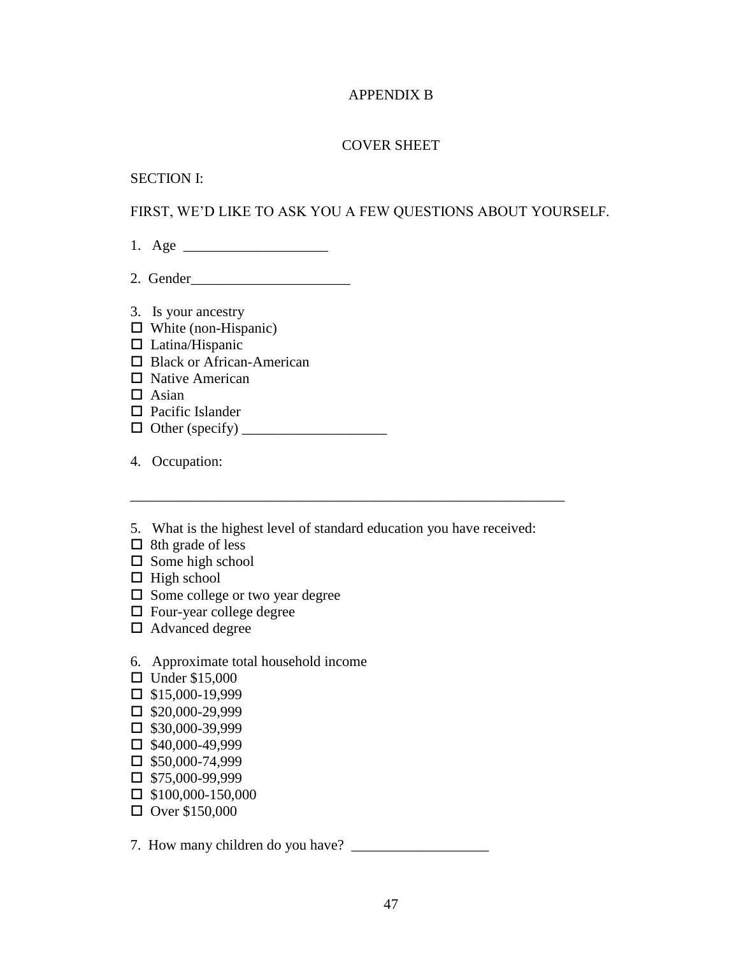# APPENDIX B

# COVER SHEET

#### SECTION I:

# FIRST, WE'D LIKE TO ASK YOU A FEW QUESTIONS ABOUT YOURSELF.

- 1. Age \_\_\_\_\_\_\_\_\_\_\_\_\_\_\_\_\_\_\_\_
- 2. Gender\_\_\_\_\_\_\_\_\_\_\_\_\_\_\_\_\_\_\_\_\_\_
- 3. Is your ancestry
- $\Box$  White (non-Hispanic)
- $\Box$  Latina/Hispanic
- □ Black or African-American
- $\Box$  Native American
- $\Box$  Asian
- $\Box$  Pacific Islander
- $\Box$  Other (specify)
- 4. Occupation:
- 5. What is the highest level of standard education you have received:
- $\Box$  8th grade of less
- $\square$  Some high school
- $\Box$  High school
- $\square$  Some college or two year degree
- $\Box$  Four-year college degree
- □ Advanced degree
- 6. Approximate total household income
- $\Box$  Under \$15,000
- $\Box$  \$15,000-19,999
- $\Box$  \$20,000-29,999
- $\square$  \$30,000-39,999
- $\Box$  \$40,000-49,999
- $\square$  \$50,000-74,999
- $\Box$  \$75,000-99,999
- $\Box$  \$100,000-150,000
- $\Box$  Over \$150,000

7. How many children do you have? \_\_\_\_\_\_\_\_\_\_\_\_\_\_\_\_\_\_\_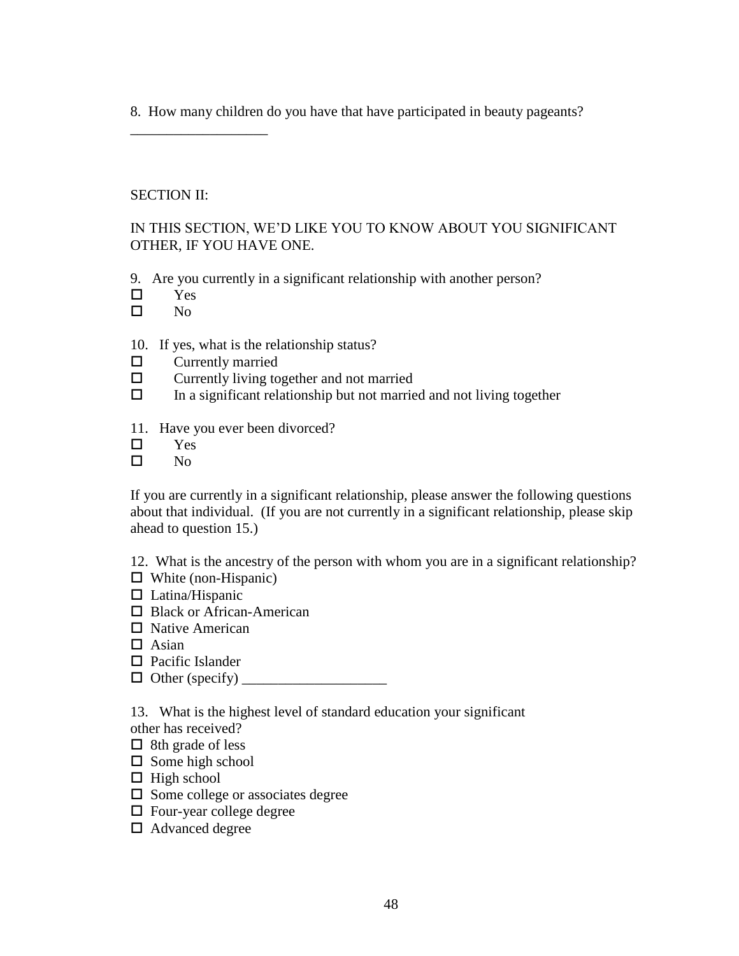8. How many children do you have that have participated in beauty pageants?

# SECTION II:

\_\_\_\_\_\_\_\_\_\_\_\_\_\_\_\_\_\_\_

IN THIS SECTION, WE'D LIKE YOU TO KNOW ABOUT YOU SIGNIFICANT OTHER, IF YOU HAVE ONE.

9. Are you currently in a significant relationship with another person?

- Yes
- $\square$  No

# 10. If yes, what is the relationship status?

- $\Box$  Currently married
- $\square$  Currently living together and not married
- $\Box$  In a significant relationship but not married and not living together
- 11. Have you ever been divorced?
- Yes
- $\Box$  No

If you are currently in a significant relationship, please answer the following questions about that individual. (If you are not currently in a significant relationship, please skip ahead to question 15.)

12. What is the ancestry of the person with whom you are in a significant relationship?

- $\Box$  White (non-Hispanic)
- $\Box$  Latina/Hispanic
- □ Black or African-American
- Native American
- $\Box$  Asian
- $\Box$  Pacific Islander
- $\Box$  Other (specify)

13. What is the highest level of standard education your significant

- other has received?
- $\Box$  8th grade of less
- $\square$  Some high school
- $\Box$  High school
- $\square$  Some college or associates degree
- $\Box$  Four-year college degree
- □ Advanced degree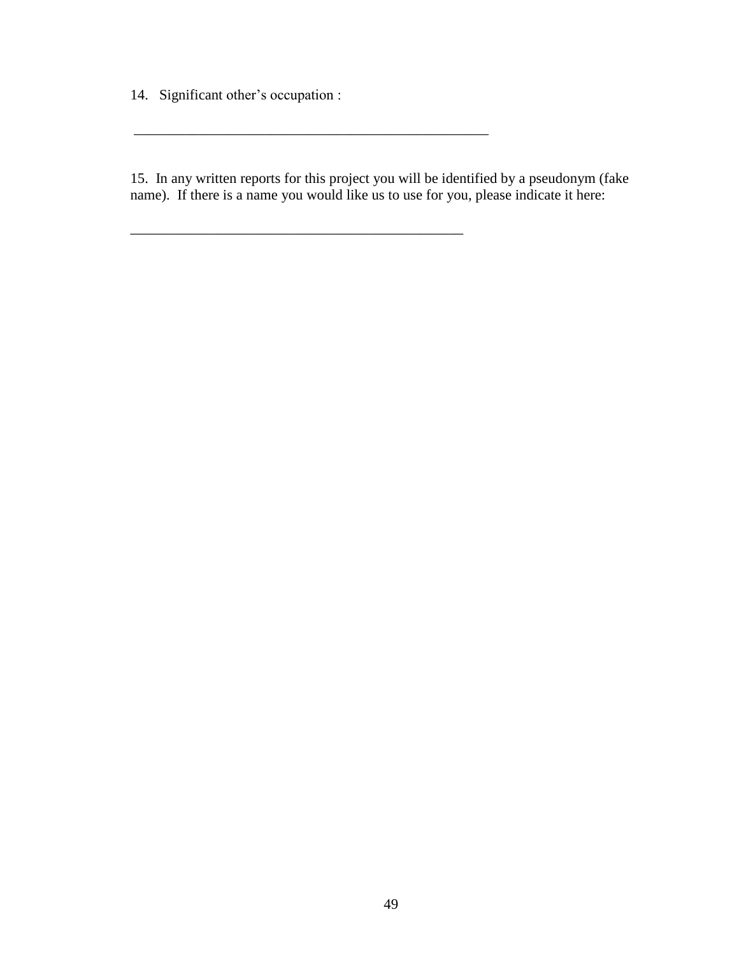14. Significant other's occupation :

\_\_\_\_\_\_\_\_\_\_\_\_\_\_\_\_\_\_\_\_\_\_\_\_\_\_\_\_\_\_\_\_\_\_\_\_\_\_\_\_\_\_\_\_\_\_\_\_\_

\_\_\_\_\_\_\_\_\_\_\_\_\_\_\_\_\_\_\_\_\_\_\_\_\_\_\_\_\_\_\_\_\_\_\_\_\_\_\_\_\_\_\_\_\_\_

15. In any written reports for this project you will be identified by a pseudonym (fake name). If there is a name you would like us to use for you, please indicate it here: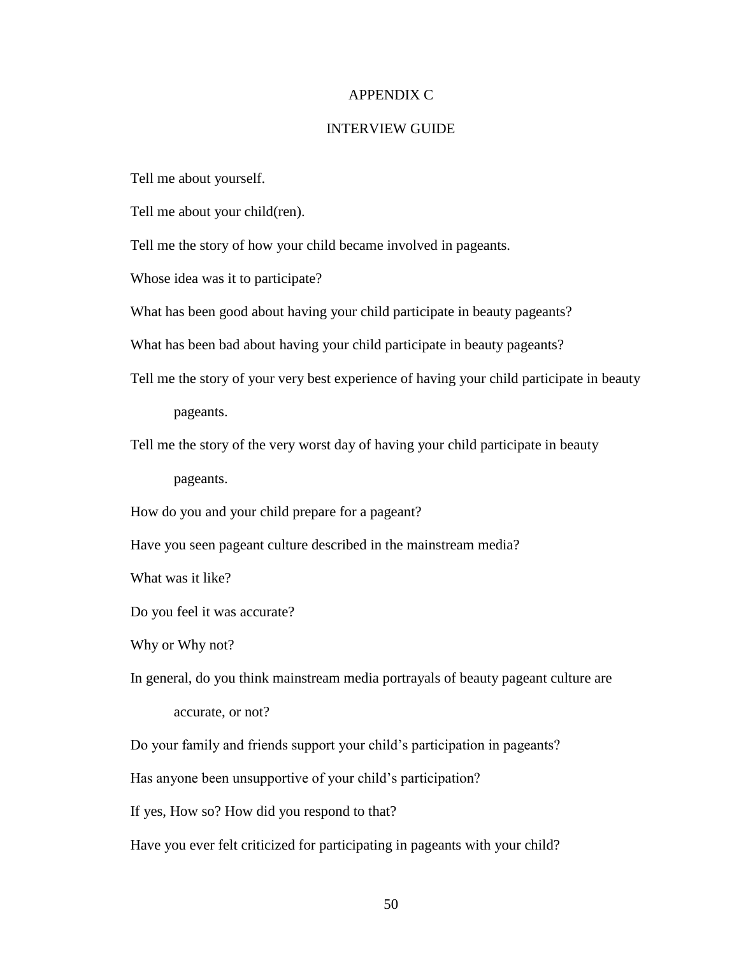#### APPENDIX C

#### INTERVIEW GUIDE

Tell me about yourself.

Tell me about your child(ren).

Tell me the story of how your child became involved in pageants.

Whose idea was it to participate?

What has been good about having your child participate in beauty pageants?

What has been bad about having your child participate in beauty pageants?

Tell me the story of your very best experience of having your child participate in beauty

pageants.

Tell me the story of the very worst day of having your child participate in beauty

pageants.

How do you and your child prepare for a pageant?

Have you seen pageant culture described in the mainstream media?

What was it like?

Do you feel it was accurate?

Why or Why not?

In general, do you think mainstream media portrayals of beauty pageant culture are accurate, or not?

Do your family and friends support your child's participation in pageants?

Has anyone been unsupportive of your child's participation?

If yes, How so? How did you respond to that?

Have you ever felt criticized for participating in pageants with your child?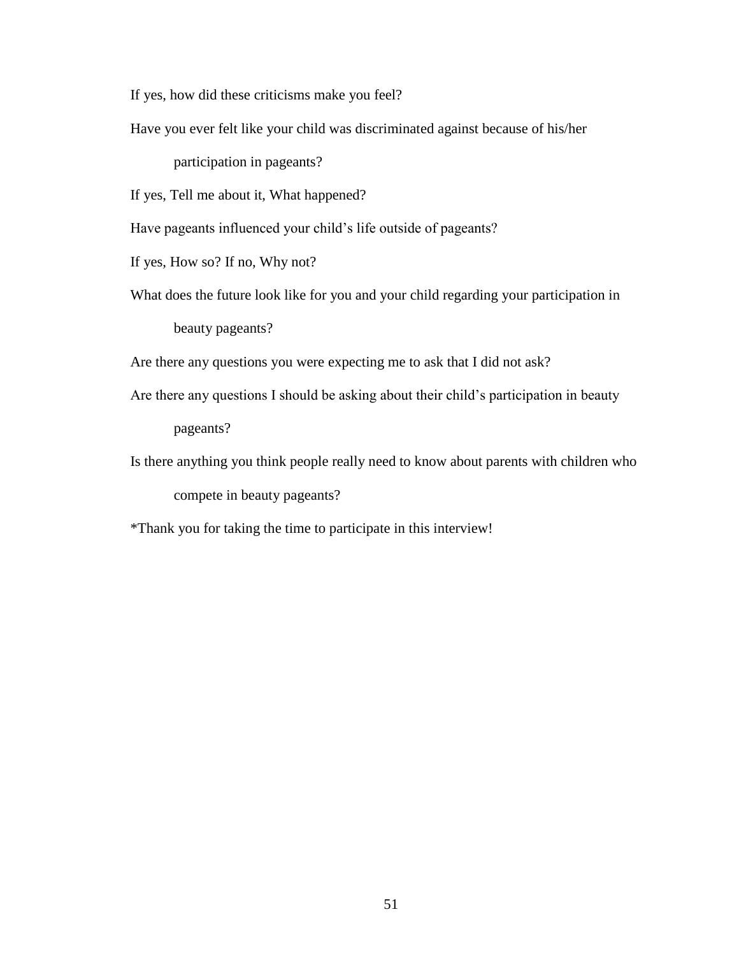If yes, how did these criticisms make you feel?

Have you ever felt like your child was discriminated against because of his/her

participation in pageants?

If yes, Tell me about it, What happened?

Have pageants influenced your child's life outside of pageants?

If yes, How so? If no, Why not?

What does the future look like for you and your child regarding your participation in beauty pageants?

Are there any questions you were expecting me to ask that I did not ask?

- Are there any questions I should be asking about their child's participation in beauty pageants?
- Is there anything you think people really need to know about parents with children who compete in beauty pageants?

\*Thank you for taking the time to participate in this interview!